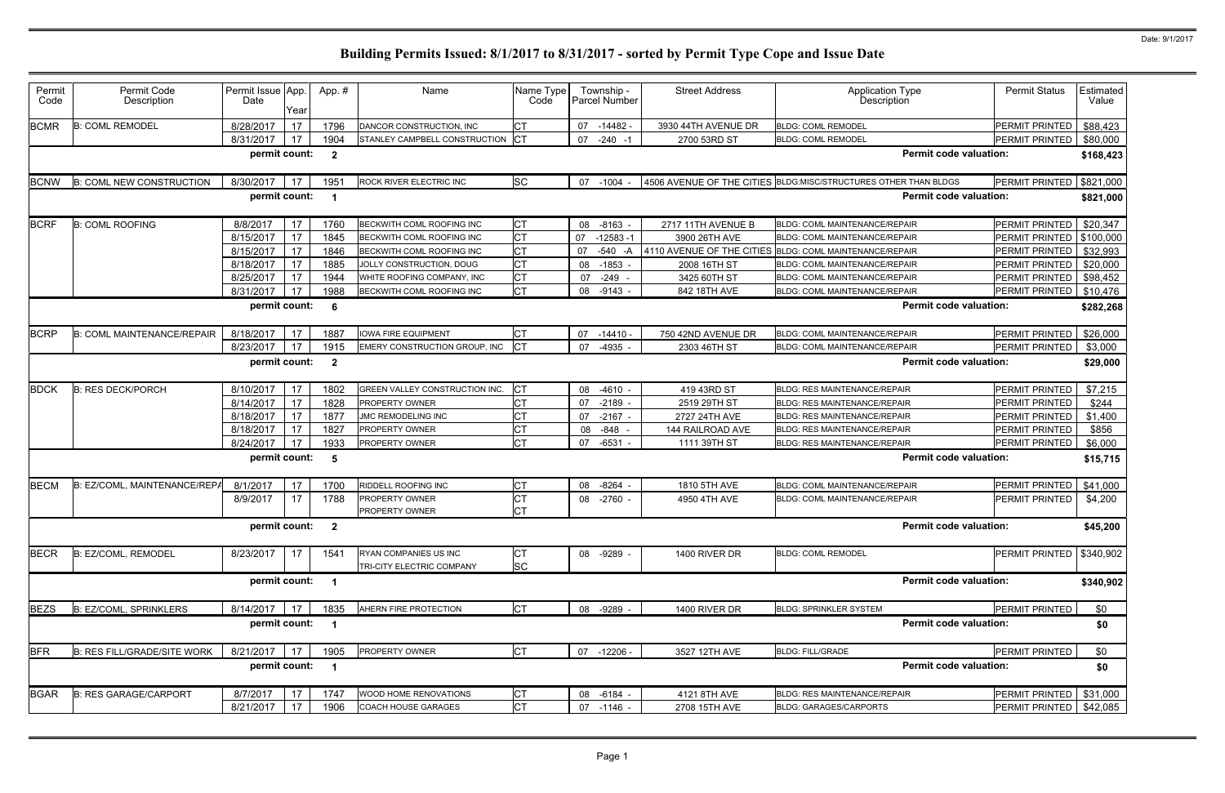| Permit<br>Code | Permit Code<br>Description         | Permit Issue App.<br>Date | Year | App.#                   | Name                             | Name Type<br>Code | Township -<br>Parcel Number | <b>Street Address</b> | <b>Application Type</b><br><b>Description</b>                   | <b>Permit Status</b>       | Estimated<br>Value |
|----------------|------------------------------------|---------------------------|------|-------------------------|----------------------------------|-------------------|-----------------------------|-----------------------|-----------------------------------------------------------------|----------------------------|--------------------|
| <b>BCMR</b>    | <b>B: COML REMODEL</b>             | 8/28/2017                 | 17   | 1796                    | DANCOR CONSTRUCTION, INC         | СT                | 07<br>-14482 -              | 3930 44TH AVENUE DR   | <b>BLDG: COML REMODEL</b>                                       | PERMIT PRINTED             | \$88,423           |
|                |                                    | 8/31/2017                 | 17   | 1904                    | STANLEY CAMPBELL CONSTRUCTION CT |                   | 07<br>$-240 -1$             | 2700 53RD ST          | <b>BLDG: COML REMODEL</b>                                       | <b>PERMIT PRINTED</b>      | \$80,000           |
|                |                                    | permit count:             |      | $\overline{\mathbf{2}}$ |                                  |                   |                             |                       | <b>Permit code valuation:</b>                                   |                            | \$168,423          |
| <b>BCNW</b>    | <b>B: COML NEW CONSTRUCTION</b>    | 8/30/2017                 | 17   | 1951                    | ROCK RIVER ELECTRIC INC          | <b>SC</b>         | 07 -1004                    |                       | 4506 AVENUE OF THE CITIES BLDG:MISC/STRUCTURES OTHER THAN BLDGS | PERMIT PRINTED             | \$821,000          |
|                |                                    | permit count:             |      | -1                      |                                  |                   |                             |                       | <b>Permit code valuation:</b>                                   |                            | \$821,000          |
| <b>BCRF</b>    | <b>B: COML ROOFING</b>             | 8/8/2017                  | 17   | 1760                    | BECKWITH COML ROOFING INC        | <b>CT</b>         | 08 -8163                    | 2717 11TH AVENUE B    | <b>BLDG: COML MAINTENANCE/REPAIR</b>                            | PERMIT PRINTED             | \$20,347           |
|                |                                    | 8/15/2017                 | 17   | 1845                    | <b>BECKWITH COML ROOFING INC</b> | <b>CT</b>         | 07<br>$-12583 - 1$          | 3900 26TH AVE         | <b>BLDG: COML MAINTENANCE/REPAIR</b>                            | PERMIT PRINTED   \$100,000 |                    |
|                |                                    | 8/15/2017                 | 17   | 1846                    | BECKWITH COML ROOFING INC        | <b>CT</b>         | 07<br>$-540 - A$            |                       | 4110 AVENUE OF THE CITIES BLDG: COML MAINTENANCE/REPAIR         | PERMIT PRINTED             | \$32,993           |
|                |                                    | 8/18/2017                 | 17   | 1885                    | JOLLY CONSTRUCTION, DOUG         | <b>CT</b>         | $-1853$<br>08               | 2008 16TH ST          | BLDG: COML MAINTENANCE/REPAIR                                   | PERMIT PRINTED             | \$20,000           |
|                |                                    | 8/25/2017                 | 17   | 1944                    | WHITE ROOFING COMPANY, INC       | СT                | 07<br>$-249 -$              | 3425 60TH ST          | <b>BLDG: COML MAINTENANCE/REPAIR</b>                            | PERMIT PRINTED             | \$98,452           |
|                |                                    | 8/31/2017                 | 17   | 1988                    | BECKWITH COML ROOFING INC        | <b>CT</b>         | $-9143$<br>08               | 842 18TH AVE          | BLDG: COML MAINTENANCE/REPAIR                                   | <b>PERMIT PRINTED</b>      | \$10,476           |
|                |                                    | permit count:             |      | - 6                     |                                  |                   |                             |                       | <b>Permit code valuation:</b>                                   |                            | \$282,268          |
| <b>BCRP</b>    | <b>B: COML MAINTENANCE/REPAIR</b>  | 8/18/2017                 | 17   | 1887                    | <b>IOWA FIRE EQUIPMENT</b>       | <b>CT</b>         | 07 -14410 -                 | 750 42ND AVENUE DR    | BLDG: COML MAINTENANCE/REPAIR                                   | PERMIT PRINTED             | \$26,000           |
|                |                                    | 8/23/2017                 | 17   | 1915                    | EMERY CONSTRUCTION GROUP, INC    | Iст               | 07 -4935                    | 2303 46TH ST          | BLDG: COML MAINTENANCE/REPAIR                                   | <b>PERMIT PRINTED</b>      | \$3,000            |
|                |                                    | permit count:             |      | $\overline{2}$          |                                  |                   |                             |                       | <b>Permit code valuation:</b>                                   |                            | \$29,000           |
| <b>BDCK</b>    | <b>B: RES DECK/PORCH</b>           | 8/10/2017                 | 17   | 1802                    | GREEN VALLEY CONSTRUCTION INC.   | Iст               | $-4610$<br>08               | 419 43RD ST           | <b>BLDG: RES MAINTENANCE/REPAIR</b>                             | PERMIT PRINTED             | \$7,215            |
|                |                                    | 8/14/2017                 | 17   | 1828                    | <b>PROPERTY OWNER</b>            |                   | $-2189$ -<br>07             | 2519 29TH ST          | BLDG: RES MAINTENANCE/REPAIR                                    | <b>PERMIT PRINTED</b>      | \$244              |
|                |                                    | 8/18/2017                 | 17   | 1877                    | <b>JMC REMODELING INC</b>        | СT                | 07<br>$-2167$               | 2727 24TH AVE         | <b>BLDG: RES MAINTENANCE/REPAIR</b>                             | PERMIT PRINTED             | \$1,400            |
|                |                                    | 8/18/2017                 | 17   | 1827                    | <b>PROPERTY OWNER</b>            | <b>CT</b>         | 08<br>-848                  | 144 RAILROAD AVE      | <b>BLDG: RES MAINTENANCE/REPAIR</b>                             | PERMIT PRINTED             | \$856              |
|                |                                    | 8/24/2017                 | 17   | 1933                    | PROPERTY OWNER                   | <b>CT</b>         | 07<br>$-6531$               | 1111 39TH ST          | BLDG: RES MAINTENANCE/REPAIR                                    | PERMIT PRINTED             | \$6,000            |
|                |                                    | permit count:             |      | 5                       |                                  |                   |                             |                       | <b>Permit code valuation:</b>                                   |                            | \$15,715           |
| <b>BECM</b>    | B: EZ/COML, MAINTENANCE/REPA       | 8/1/2017                  | 17   | 1700                    | RIDDELL ROOFING INC              | <b>CT</b>         | $-8264$<br>08               | 1810 5TH AVE          | BLDG: COML MAINTENANCE/REPAIR                                   | PERMIT PRINTED             | \$41,000           |
|                |                                    | 8/9/2017                  | 17   | 1788                    | PROPERTY OWNER                   | <b>CT</b>         | 08 -2760 -                  | 4950 4TH AVE          | <b>BLDG: COML MAINTENANCE/REPAIR</b>                            | <b>PERMIT PRINTED</b>      | \$4,200            |
|                |                                    |                           |      |                         | <b>PROPERTY OWNER</b>            | <b>CT</b>         |                             |                       |                                                                 |                            |                    |
|                |                                    | permit count: 2           |      |                         |                                  |                   |                             |                       | <b>Permit code valuation:</b>                                   |                            | \$45,200           |
| <b>BECR</b>    | B: EZ/COML, REMODEL                | 8/23/2017                 | 17   | 1541                    | RYAN COMPANIES US INC            | СT                | 08 -9289 -                  | 1400 RIVER DR         | <b>BLDG: COML REMODEL</b>                                       | <b>PERMIT PRINTED</b>      | \$340,902          |
|                |                                    |                           |      |                         | TRI-CITY ELECTRIC COMPANY        | <b>SC</b>         |                             |                       |                                                                 |                            |                    |
|                |                                    | permit count:             |      | $\overline{\mathbf{1}}$ |                                  |                   |                             |                       | <b>Permit code valuation:</b>                                   |                            | \$340,902          |
| <b>BEZS</b>    | B: EZ/COML, SPRINKLERS             | 8/14/2017                 | 17   | 1835                    | AHERN FIRE PROTECTION            | <b>CT</b>         | 08 -9289 -                  | 1400 RIVER DR         | <b>BLDG: SPRINKLER SYSTEM</b>                                   | PERMIT PRINTED             | \$0                |
|                |                                    | permit count:             |      | -1                      |                                  |                   |                             |                       | <b>Permit code valuation:</b>                                   |                            | \$0                |
| <b>BFR</b>     | <b>B: RES FILL/GRADE/SITE WORK</b> | 8/21/2017                 | 17   | 1905                    | PROPERTY OWNER                   | <b>CT</b>         | 07<br>$-12206 -$            | 3527 12TH AVE         | <b>BLDG: FILL/GRADE</b>                                         | PERMIT PRINTED             | \$0                |
|                |                                    | permit count:             |      | -1                      |                                  |                   |                             |                       | <b>Permit code valuation:</b>                                   |                            | \$0                |
|                |                                    |                           |      |                         |                                  |                   |                             |                       |                                                                 |                            |                    |
| <b>BGAR</b>    | <b>B: RES GARAGE/CARPORT</b>       | 8/7/2017                  | 17   | 1747                    | WOOD HOME RENOVATIONS            | <b>CT</b>         | 08 -6184                    | 4121 8TH AVE          | BLDG: RES MAINTENANCE/REPAIR                                    | PERMIT PRINTED             | \$31,000           |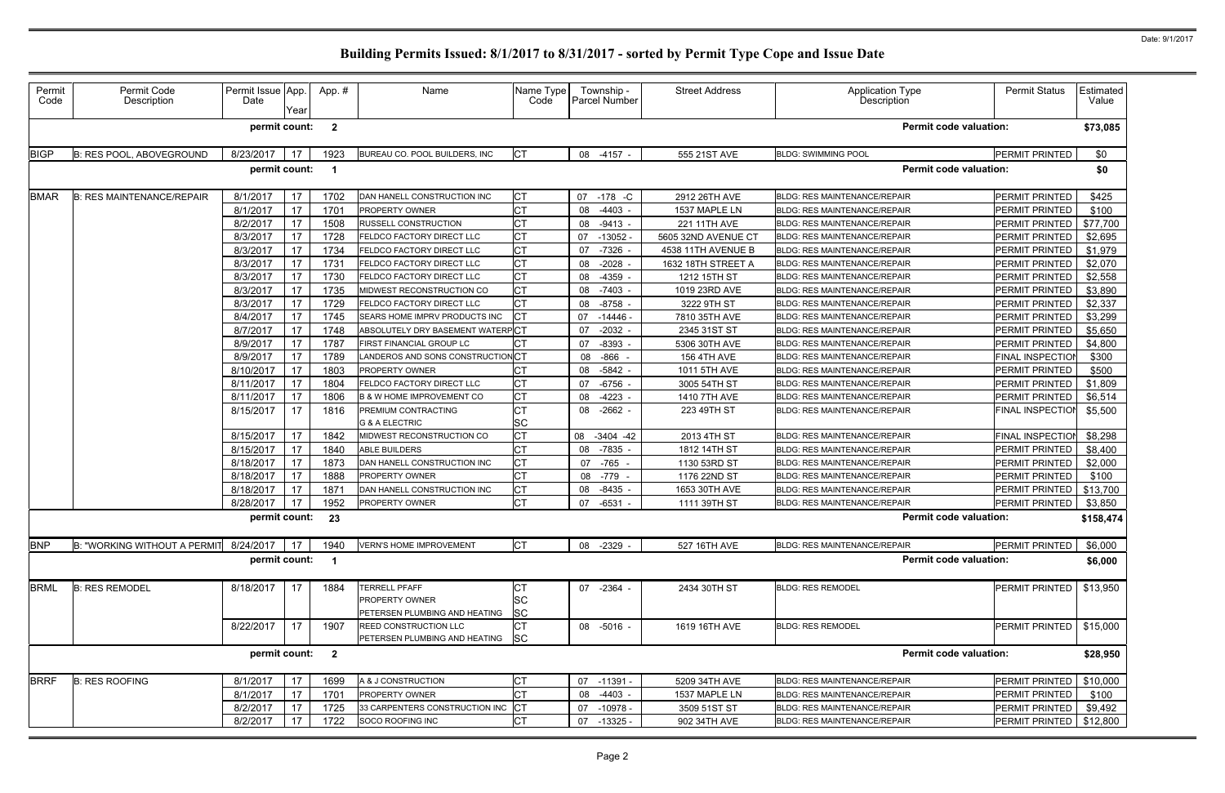| Permit<br>Code | Permit Code<br>Description       | Permit Issue App.<br>Date | Year | App.#                   | Name                                                                           | Name Type<br>Code             | Township -<br>Parcel Number | <b>Street Address</b> | Application Type<br>Description     | <b>Permit Status</b>    | Estimated<br>Value |
|----------------|----------------------------------|---------------------------|------|-------------------------|--------------------------------------------------------------------------------|-------------------------------|-----------------------------|-----------------------|-------------------------------------|-------------------------|--------------------|
|                |                                  | permit count:             |      | $\overline{\mathbf{2}}$ |                                                                                |                               |                             |                       | Permit code valuation:              |                         | \$73,085           |
| <b>BIGP</b>    | <b>B: RES POOL, ABOVEGROUND</b>  | 8/23/2017                 | 17   | 1923                    | BUREAU CO. POOL BUILDERS, INC                                                  | <b>CT</b>                     | 08 -4157 -                  | 555 21ST AVE          | <b>BLDG: SWIMMING POOL</b>          | PERMIT PRINTED          | \$0                |
|                |                                  | permit count:             |      | - 1                     |                                                                                |                               |                             |                       | <b>Permit code valuation:</b>       |                         | \$0                |
| <b>BMAR</b>    | <b>B: RES MAINTENANCE/REPAIR</b> | 8/1/2017                  | 17   | 1702                    | DAN HANELL CONSTRUCTION INC                                                    | IСТ                           | 07<br>-178 -C               | 2912 26TH AVE         | <b>BLDG: RES MAINTENANCE/REPAIR</b> | PERMIT PRINTED          | \$425              |
|                |                                  | 8/1/2017                  | 17   | 1701                    | PROPERTY OWNER                                                                 | <b>CT</b>                     | $-4403 -$<br>08             | 1537 MAPLE LN         | <b>BLDG: RES MAINTENANCE/REPAIR</b> | PERMIT PRINTED          | \$100              |
|                |                                  | 8/2/2017                  | 17   | 1508                    | <b>RUSSELL CONSTRUCTION</b>                                                    | <b>CT</b>                     | 08<br>$-9413 -$             | 221 11TH AVE          | <b>BLDG: RES MAINTENANCE/REPAIR</b> | PERMIT PRINTED          | \$77,700           |
|                |                                  | 8/3/2017                  | 17   | 1728                    | <b>FELDCO FACTORY DIRECT LLC</b>                                               | <b>CT</b>                     | 07<br>$-13052$              | 5605 32ND AVENUE CT   | BLDG: RES MAINTENANCE/REPAIR        | PERMIT PRINTED          | \$2,695            |
|                |                                  | 8/3/2017                  | 17   | 1734                    | FELDCO FACTORY DIRECT LLC                                                      | <b>CT</b>                     | -7326<br>07                 | 4538 11TH AVENUE B    | BLDG: RES MAINTENANCE/REPAIR        | PERMIT PRINTED          | \$1,979            |
|                |                                  | 8/3/2017                  | 17   | 1731                    | FELDCO FACTORY DIRECT LLC                                                      | Iст                           | $-2028$<br>08               | 1632 18TH STREET A    | <b>BLDG: RES MAINTENANCE/REPAIR</b> | PERMIT PRINTED          | \$2,070            |
|                |                                  | 8/3/2017                  | 17   | 1730                    | FELDCO FACTORY DIRECT LLC                                                      | <b>CT</b>                     | $-4359$<br>08               | 1212 15TH ST          | <b>BLDG: RES MAINTENANCE/REPAIR</b> | PERMIT PRINTED          | \$2,558            |
|                |                                  | 8/3/2017                  | 17   | 1735                    | MIDWEST RECONSTRUCTION CO                                                      | <b>CT</b>                     | 08<br>$-7403$ -             | 1019 23RD AVE         | <b>BLDG: RES MAINTENANCE/REPAIR</b> | PERMIT PRINTED          | \$3,890            |
|                |                                  | 8/3/2017                  | 17   | 1729                    | FELDCO FACTORY DIRECT LLC                                                      | <b>CT</b>                     | $-8758 -$<br>08             | 3222 9TH ST           | BLDG: RES MAINTENANCE/REPAIR        | PERMIT PRINTED          | \$2,337            |
|                |                                  | 8/4/2017                  | 17   | 1745                    | SEARS HOME IMPRV PRODUCTS INC                                                  | Iст                           | 07<br>$-14446$              | 7810 35TH AVE         | <b>BLDG: RES MAINTENANCE/REPAIR</b> | PERMIT PRINTED          | \$3,299            |
|                |                                  | 8/7/2017                  | 17   | 1748                    | ABSOLUTELY DRY BASEMENT WATERPCT                                               |                               | 07<br>$-2032 -$             | 2345 31ST ST          | <b>BLDG: RES MAINTENANCE/REPAIR</b> | PERMIT PRINTED          | \$5,650            |
|                |                                  | 8/9/2017                  | 17   | 1787                    | FIRST FINANCIAL GROUP LC                                                       | <b>CT</b>                     | $-8393$<br>07               | 5306 30TH AVE         | <b>BLDG: RES MAINTENANCE/REPAIR</b> | PERMIT PRINTED          | \$4,800            |
|                |                                  | 8/9/2017                  | 17   | 1789                    | LANDEROS AND SONS CONSTRUCTION CT                                              |                               | $-866$<br>08                | <b>156 4TH AVE</b>    | BLDG: RES MAINTENANCE/REPAIR        | <b>FINAL INSPECTIOI</b> | \$300              |
|                |                                  | 8/10/2017                 | 17   | 1803                    | <b>PROPERTY OWNER</b>                                                          | <b>CT</b>                     | $-5842 -$<br>08             | 1011 5TH AVE          | <b>BLDG: RES MAINTENANCE/REPAIR</b> | PERMIT PRINTED          | \$500              |
|                |                                  | 8/11/2017                 | 17   | 1804                    | <b>FELDCO FACTORY DIRECT LLC</b>                                               | <b>CT</b>                     | 07<br>$-6756$ -             | 3005 54TH ST          | BLDG: RES MAINTENANCE/REPAIR        | PERMIT PRINTED          | \$1,809            |
|                |                                  | 8/11/2017                 | 17   | 1806                    | <b>B &amp; W HOME IMPROVEMENT CO</b>                                           | <b>CT</b>                     | $-4223$<br>08               | 1410 7TH AVE          | BLDG: RES MAINTENANCE/REPAIR        | PERMIT PRINTED          | \$6,514            |
|                |                                  | 8/15/2017                 | 17   | 1816                    | PREMIUM CONTRACTING                                                            | <b>CT</b>                     | $-2662 -$<br>08             | 223 49TH ST           | <b>BLDG: RES MAINTENANCE/REPAIR</b> | FINAL INSPECTION        | \$5,500            |
|                |                                  |                           |      |                         | <b>G &amp; A ELECTRIC</b>                                                      | <b>SC</b>                     |                             |                       |                                     |                         |                    |
|                |                                  | 8/15/2017                 | 17   | 1842                    | MIDWEST RECONSTRUCTION CO                                                      | <b>CT</b>                     | 08<br>$-3404 - 42$          | 2013 4TH ST           | BLDG: RES MAINTENANCE/REPAIR        | FINAL INSPECTION        | \$8,298            |
|                |                                  | 8/15/2017                 | 17   | 1840                    | <b>ABLE BUILDERS</b>                                                           | <b>CT</b>                     | 08<br>-7835 -               | 1812 14TH ST          | BLDG: RES MAINTENANCE/REPAIR        | PERMIT PRINTED          | \$8,400            |
|                |                                  | 8/18/2017                 | 17   | 1873                    | DAN HANELL CONSTRUCTION INC                                                    | <b>CT</b>                     | $-765$<br>07                | 1130 53RD ST          | <b>BLDG: RES MAINTENANCE/REPAIR</b> | PERMIT PRINTED          | \$2,000            |
|                |                                  | 8/18/2017                 | 17   | 1888                    | <b>PROPERTY OWNER</b>                                                          | <b>CT</b>                     | 08<br>-779 -                | 1176 22ND ST          | <b>BLDG: RES MAINTENANCE/REPAIR</b> | PERMIT PRINTED          | \$100              |
|                |                                  | 8/18/2017                 | 17   | 1871                    | DAN HANELL CONSTRUCTION INC                                                    | <b>CT</b>                     | $-8435$<br>08               | 1653 30TH AVE         | BLDG: RES MAINTENANCE/REPAIR        | PERMIT PRINTED          | \$13,700           |
|                |                                  | 8/28/2017                 | 17   | 1952                    | PROPERTY OWNER                                                                 | <b>CT</b>                     | 07<br>$-6531 -$             | 1111 39TH ST          | <b>BLDG: RES MAINTENANCE/REPAIR</b> | PERMIT PRINTED          | \$3,850            |
|                |                                  | permit count:             |      | 23                      |                                                                                |                               |                             |                       | <b>Permit code valuation:</b>       |                         | \$158,474          |
| <b>BNP</b>     | B: "WORKING WITHOUT A PERMIT     | 8/24/2017                 | 17   | 1940                    | <b>VERN'S HOME IMPROVEMENT</b>                                                 | <b>CT</b>                     | 08 -2329 -                  | 527 16TH AVE          | <b>BLDG: RES MAINTENANCE/REPAIR</b> | PERMIT PRINTED          | \$6,000            |
|                |                                  | permit count:             |      | - 1                     |                                                                                |                               |                             |                       | <b>Permit code valuation:</b>       |                         | \$6,000            |
| <b>BRML</b>    | <b>B: RES REMODEL</b>            | 8/18/2017                 | 17   | 1884                    | <b>TERRELL PFAFF</b><br><b>PROPERTY OWNER</b><br>PETERSEN PLUMBING AND HEATING | <b>ICT</b><br>SC<br><b>SC</b> | 07 -2364 -                  | 2434 30TH ST          | <b>BLDG: RES REMODEL</b>            | <b>PERMIT PRINTED</b>   | \$13,950           |
|                |                                  | 8/22/2017                 | 17   | 1907                    | <b>REED CONSTRUCTION LLC</b><br>PETERSEN PLUMBING AND HEATING                  | <b>CT</b><br> SC              | 08 -5016 -                  | 1619 16TH AVE         | <b>BLDG: RES REMODEL</b>            | PERMIT PRINTED          | \$15,000           |
|                |                                  | permit count:             |      | $\overline{\mathbf{2}}$ |                                                                                |                               |                             |                       | <b>Permit code valuation:</b>       |                         | \$28,950           |
| <b>BRRF</b>    | <b>B: RES ROOFING</b>            | 8/1/2017                  | 17   | 1699                    | A & J CONSTRUCTION                                                             | <b>CT</b>                     | 07<br>$-11391 -$            | 5209 34TH AVE         | <b>BLDG: RES MAINTENANCE/REPAIR</b> | PERMIT PRINTED          | \$10,000           |
|                |                                  | 8/1/2017                  | 17   | 1701                    | <b>PROPERTY OWNER</b>                                                          | <b>CT</b>                     | $-4403 -$<br>08             | 1537 MAPLE LN         | BLDG: RES MAINTENANCE/REPAIR        | PERMIT PRINTED          | \$100              |
|                |                                  | 8/2/2017                  | 17   | 1725                    | 33 CARPENTERS CONSTRUCTION INC                                                 | ⊧Іст                          | 07<br>$-10978 -$            | 3509 51ST ST          | BLDG: RES MAINTENANCE/REPAIR        | PERMIT PRINTED          | \$9,492            |
|                |                                  | 8/2/2017                  | 17   | 1722                    | SOCO ROOFING INC                                                               | <b>CT</b>                     | 07<br>$-13325 -$            | 902 34TH AVE          | BLDG: RES MAINTENANCE/REPAIR        | PERMIT PRINTED          | \$12,800           |
|                |                                  |                           |      |                         |                                                                                |                               |                             |                       |                                     |                         |                    |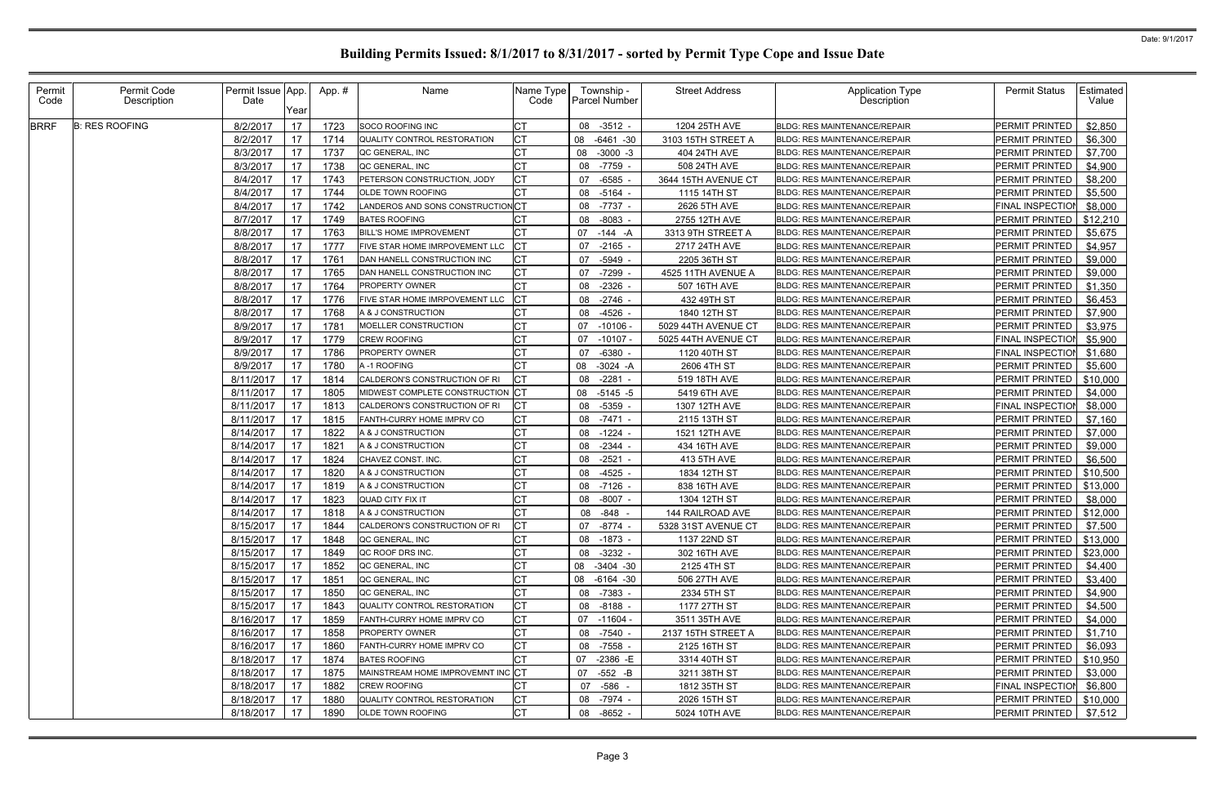| Permit<br>Code | Permit Code<br>Description | Permit Issue App.<br>Date | Year | App. # | Name                               | Name Type<br>Code | Township -<br><b>Parcel Number</b> | <b>Street Address</b> | <b>Application Type</b><br>Description | <b>Permit Status</b><br>Estimated<br>Value |
|----------------|----------------------------|---------------------------|------|--------|------------------------------------|-------------------|------------------------------------|-----------------------|----------------------------------------|--------------------------------------------|
| <b>BRRF</b>    | <b>B: RES ROOFING</b>      | 8/2/2017                  | 17   | 1723   | <b>SOCO ROOFING INC</b>            | <b>CT</b>         | 08<br>$-3512 -$                    | 1204 25TH AVE         | BLDG: RES MAINTENANCE/REPAIR           | \$2,850<br>PERMIT PRINTED                  |
|                |                            | 8/2/2017                  | 17   | 1714   | QUALITY CONTROL RESTORATION        | Iст               | $-6461 - 30$<br>08                 | 3103 15TH STREET A    | <b>BLDG: RES MAINTENANCE/REPAIR</b>    | \$6,300<br>PERMIT PRINTED                  |
|                |                            | 8/3/2017                  | 17   | 1737   | QC GENERAL, INC                    | <b>CT</b>         | $-3000 -3$<br>08                   | 404 24TH AVE          | <b>BLDG: RES MAINTENANCE/REPAIR</b>    | \$7,700<br>PERMIT PRINTED                  |
|                |                            | 8/3/2017                  | 17   | 1738   | QC GENERAL, INC                    | <b>CT</b>         | -7759 -<br>08                      | 508 24TH AVE          | BLDG: RES MAINTENANCE/REPAIR           | \$4,900<br>PERMIT PRINTED                  |
|                |                            | 8/4/2017                  | 17   | 1743   | PETERSON CONSTRUCTION, JODY        | <b>CT</b>         | $-6585$<br>07                      | 3644 15TH AVENUE CT   | <b>BLDG: RES MAINTENANCE/REPAIR</b>    | \$8,200<br>PERMIT PRINTED                  |
|                |                            | 8/4/2017                  | 17   | 1744   | OLDE TOWN ROOFING                  | <b>CT</b>         | 08<br>-5164 -                      | 1115 14TH ST          | <b>BLDG: RES MAINTENANCE/REPAIR</b>    | \$5,500<br>PERMIT PRINTED                  |
|                |                            | 8/4/2017                  | 17   | 1742   | LANDEROS AND SONS CONSTRUCTION CT  |                   | $-7737 -$<br>08                    | 2626 5TH AVE          | <b>BLDG: RES MAINTENANCE/REPAIR</b>    | \$8,000<br>FINAL INSPECTION                |
|                |                            | 8/7/2017                  | 17   | 1749   | <b>BATES ROOFING</b>               |                   | $-8083 -$<br>08                    | 2755 12TH AVE         | <b>BLDG: RES MAINTENANCE/REPAIR</b>    | \$12,210<br>PERMIT PRINTED                 |
|                |                            | 8/8/2017                  | 17   | 1763   | <b>BILL'S HOME IMPROVEMENT</b>     | <b>CT</b>         | $-144 - A$<br>07                   | 3313 9TH STREET A     | <b>BLDG: RES MAINTENANCE/REPAIR</b>    | PERMIT PRINTED<br>\$5,675                  |
|                |                            | 8/8/2017                  | 17   | 1777   | FIVE STAR HOME IMRPOVEMENT LLC     | $ _{\rm CT}$      | $-2165 -$<br>07                    | 2717 24TH AVE         | <b>BLDG: RES MAINTENANCE/REPAIR</b>    | PERMIT PRINTED<br>\$4,957                  |
|                |                            | 8/8/2017                  | 17   | 1761   | DAN HANELL CONSTRUCTION INC        | Iст               | 07<br>-5949 -                      | 2205 36TH ST          | <b>BLDG: RES MAINTENANCE/REPAIR</b>    | \$9,000<br>PERMIT PRINTED                  |
|                |                            | 8/8/2017                  | 17   | 1765   | DAN HANELL CONSTRUCTION INC        | <b>CT</b>         | -7299<br>07                        | 4525 11TH AVENUE A    | <b>BLDG: RES MAINTENANCE/REPAIR</b>    | PERMIT PRINTED<br>\$9,000                  |
|                |                            | 8/8/2017                  | 17   | 1764   | <b>PROPERTY OWNER</b>              | <b>CT</b>         | $-2326$ -<br>08                    | 507 16TH AVE          | <b>BLDG: RES MAINTENANCE/REPAIR</b>    | \$1,350<br>PERMIT PRINTED                  |
|                |                            | 8/8/2017                  | 17   | 1776   | FIVE STAR HOME IMRPOVEMENT LLC     | <b>CT</b>         | 08<br>$-2746$ -                    | 432 49TH ST           | BLDG: RES MAINTENANCE/REPAIR           | PERMIT PRINTED<br>\$6,453                  |
|                |                            | 8/8/2017                  | 17   | 1768   | A & J CONSTRUCTION                 | <b>CT</b>         | 08<br>-4526 -                      | 1840 12TH ST          | <b>BLDG: RES MAINTENANCE/REPAIR</b>    | PERMIT PRINTED<br>\$7,900                  |
|                |                            | 8/9/2017                  | 17   | 1781   | MOELLER CONSTRUCTION               | <b>CT</b>         | 07<br>$-10106$                     | 5029 44TH AVENUE CT   | <b>BLDG: RES MAINTENANCE/REPAIR</b>    | \$3,975<br>PERMIT PRINTED                  |
|                |                            | 8/9/2017                  | 17   | 1779   | CREW ROOFING                       | <b>CT</b>         | 07<br>$-10107 -$                   | 5025 44TH AVENUE CT   | <b>BLDG: RES MAINTENANCE/REPAIR</b>    | \$5,900<br>FINAL INSPECTION                |
|                |                            | 8/9/2017                  | 17   | 1786   | PROPERTY OWNER                     | <b>CT</b>         | $-6380 -$<br>07                    | 1120 40TH ST          | <b>BLDG: RES MAINTENANCE/REPAIR</b>    | FINAL INSPECTION<br>\$1,680                |
|                |                            | 8/9/2017                  | 17   | 1780   | A-1 ROOFING                        | <b>CT</b>         | $-3024 - A$<br>08                  | 2606 4TH ST           | BLDG: RES MAINTENANCE/REPAIR           | PERMIT PRINTED<br>\$5,600                  |
|                |                            | 8/11/2017                 | 17   | 1814   | CALDERON'S CONSTRUCTION OF RI      | Iст               | 08<br>$-2281$                      | 519 18TH AVE          | <b>BLDG: RES MAINTENANCE/REPAIR</b>    | PERMIT PRINTED<br>\$10,000                 |
|                |                            | 8/11/2017                 | 17   | 1805   | MIDWEST COMPLETE CONSTRUCTION CT   |                   | 08<br>$-5145 - 5$                  | 5419 6TH AVE          | <b>BLDG: RES MAINTENANCE/REPAIR</b>    | PERMIT PRINTED<br>\$4,000                  |
|                |                            | 8/11/2017                 | 17   | 1813   | CALDERON'S CONSTRUCTION OF RI      | IСТ               | 08<br>-5359 -                      | 1307 12TH AVE         | <b>BLDG: RES MAINTENANCE/REPAIR</b>    | FINAL INSPECTION<br>\$8,000                |
|                |                            | 8/11/2017                 | 17   | 1815   | FANTH-CURRY HOME IMPRV CO          | <b>CT</b>         | $-7471 -$<br>08                    | 2115 13TH ST          | BLDG: RES MAINTENANCE/REPAIR           | PERMIT PRINTED<br>\$7,160                  |
|                |                            | 8/14/2017                 | 17   | 1822   | A & J CONSTRUCTION                 | <b>CT</b>         | 08<br>-1224 -                      | 1521 12TH AVE         | <b>BLDG: RES MAINTENANCE/REPAIR</b>    | \$7,000<br>PERMIT PRINTED                  |
|                |                            | 8/14/2017                 | 17   | 1821   | A & J CONSTRUCTION                 | <b>CT</b>         | 08<br>$-2344 -$                    | 434 16TH AVE          | <b>BLDG: RES MAINTENANCE/REPAIR</b>    | PERMIT PRINTED<br>\$9,000                  |
|                |                            | 8/14/2017                 | 17   | 1824   | CHAVEZ CONST. INC.                 | <b>CT</b>         | $-2521 -$<br>08                    | 413 5TH AVE           | <b>BLDG: RES MAINTENANCE/REPAIR</b>    | \$6,500<br>PERMIT PRINTED                  |
|                |                            | 8/14/2017                 | 17   | 1820   | A & J CONSTRUCTION                 | <b>CT</b>         | 08<br>-4525 -                      | 1834 12TH ST          | <b>BLDG: RES MAINTENANCE/REPAIR</b>    | PERMIT PRINTED<br>\$10,500                 |
|                |                            | 8/14/2017                 | 17   | 1819   | A & J CONSTRUCTION                 | СT                | $-7126 -$<br>08                    | 838 16TH AVE          | <b>BLDG: RES MAINTENANCE/REPAIR</b>    | PERMIT PRINTED<br>\$13,000                 |
|                |                            | 8/14/2017                 | 17   | 1823   | <b>QUAD CITY FIX IT</b>            | <b>CT</b>         | 08<br>-8007 -                      | 1304 12TH ST          | <b>BLDG: RES MAINTENANCE/REPAIR</b>    | PERMIT PRINTED<br>\$8,000                  |
|                |                            | 8/14/2017                 | 17   | 1818   | A & J CONSTRUCTION                 | <b>CT</b>         | $-848 -$<br>08                     | 144 RAILROAD AVE      | <b>BLDG: RES MAINTENANCE/REPAIR</b>    | PERMIT PRINTED<br>\$12,000                 |
|                |                            | 8/15/2017                 | 17   | 1844   | CALDERON'S CONSTRUCTION OF RI      | Iст               | 07<br>-8774 -                      | 5328 31ST AVENUE CT   | <b>BLDG: RES MAINTENANCE/REPAIR</b>    | <b>PERMIT PRINTED</b><br>\$7,500           |
|                |                            | 8/15/2017                 | 17   | 1848   | QC GENERAL, INC                    | <b>CT</b>         | 08 -1873 -                         | 1137 22ND ST          | <b>BLDG: RES MAINTENANCE/REPAIR</b>    | PERMIT PRINTED<br>\$13,000                 |
|                |                            | 8/15/2017                 | 17   | 1849   | QC ROOF DRS INC.                   | <b>CT</b>         | $-3232 -$<br>08                    | 302 16TH AVE          | <b>BLDG: RES MAINTENANCE/REPAIR</b>    | PERMIT PRINTED<br>\$23,000                 |
|                |                            | 8/15/2017                 | 17   | 1852   | QC GENERAL, INC                    | <b>CT</b>         | 08 -3404 -30                       | 2125 4TH ST           | <b>BLDG: RES MAINTENANCE/REPAIR</b>    | PERMIT PRINTED<br>\$4,400                  |
|                |                            | 8/15/2017                 | 17   | 1851   | QC GENERAL, INC                    | <b>CT</b>         | 08 -6164 -30                       | 506 27TH AVE          | <b>BLDG: RES MAINTENANCE/REPAIR</b>    | \$3,400<br>PERMIT PRINTED                  |
|                |                            | 8/15/2017                 | 17   | 1850   | QC GENERAL, INC                    | <b>CT</b>         | 08 -7383 -                         | 2334 5TH ST           | BLDG: RES MAINTENANCE/REPAIR           | PERMIT PRINTED<br>\$4,900                  |
|                |                            | 8/15/2017                 | 17   | 1843   | QUALITY CONTROL RESTORATION        | <b>CT</b>         | 08<br>$-8188 -$                    | 1177 27TH ST          | <b>BLDG: RES MAINTENANCE/REPAIR</b>    | PERMIT PRINTED<br>\$4,500                  |
|                |                            | 8/16/2017                 | 17   | 1859   | FANTH-CURRY HOME IMPRV CO          | <b>CT</b>         | 07<br>-11604 -                     | 3511 35TH AVE         | <b>BLDG: RES MAINTENANCE/REPAIR</b>    | PERMIT PRINTED<br>\$4,000                  |
|                |                            | 8/16/2017                 | 17   | 1858   | <b>PROPERTY OWNER</b>              | <b>CT</b>         | -7540 -<br>08                      | 2137 15TH STREET A    | <b>BLDG: RES MAINTENANCE/REPAIR</b>    | PERMIT PRINTED<br>\$1,710                  |
|                |                            | 8/16/2017                 | 17   | 1860   | FANTH-CURRY HOME IMPRV CO          | <b>CT</b>         | 08 -7558 -                         | 2125 16TH ST          | BLDG: RES MAINTENANCE/REPAIR           | PERMIT PRINTED<br>\$6,093                  |
|                |                            | 8/18/2017                 | 17   | 1874   | <b>BATES ROOFING</b>               | <b>CT</b>         | $-2386$ -E<br>07                   | 3314 40TH ST          | <b>BLDG: RES MAINTENANCE/REPAIR</b>    | PERMIT PRINTED<br>\$10,950                 |
|                |                            | 8/18/2017                 | 17   | 1875   | MAINSTREAM HOME IMPROVEMNT INC CT  |                   | $-552$ -B<br>07                    | 3211 38TH ST          | <b>BLDG: RES MAINTENANCE/REPAIR</b>    | PERMIT PRINTED<br>\$3,000                  |
|                |                            | 8/18/2017                 | 17   | 1882   | <b>CREW ROOFING</b>                | <b>CT</b>         | -586 -<br>07                       | 1812 35TH ST          | <b>BLDG: RES MAINTENANCE/REPAIR</b>    | FINAL INSPECTION<br>\$6,800                |
|                |                            | 8/18/2017                 | 17   | 1880   | <b>QUALITY CONTROL RESTORATION</b> | <b>CT</b>         | 08 -7974 -                         | 2026 15TH ST          | BLDG: RES MAINTENANCE/REPAIR           | \$10,000<br>PERMIT PRINTED                 |
|                |                            | 8/18/2017                 | 17   | 1890   | <b>OLDE TOWN ROOFING</b>           | <b>CT</b>         | 08 -8652 -                         | 5024 10TH AVE         | <b>BLDG: RES MAINTENANCE/REPAIR</b>    | PERMIT PRINTED<br>\$7,512                  |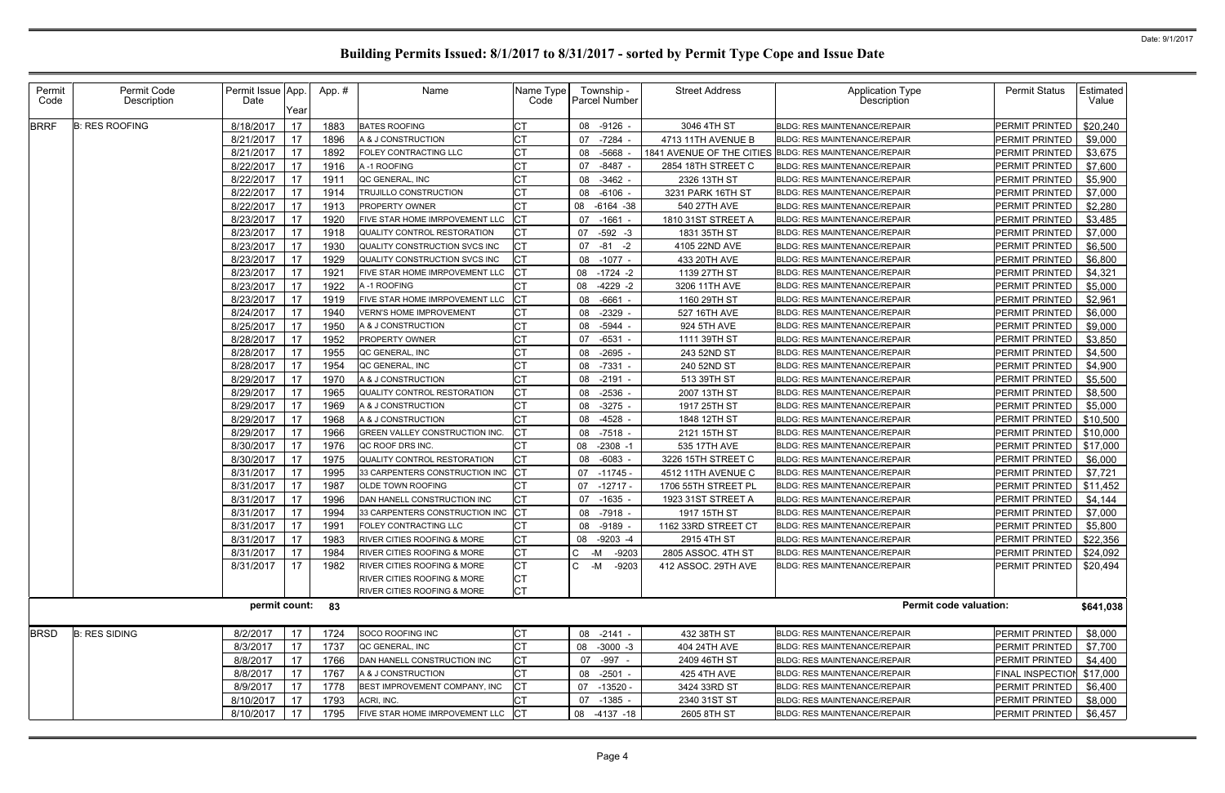| Permit<br>Code | Permit Code<br>Description | Permit Issue App.<br>Date | Year | App.# | Name                                   | Name Type<br>Code | Township -<br>Parcel Number | <b>Street Address</b>     | <b>Application Type</b><br>Description | <b>Permit Status</b>  | Estimated<br>Value |
|----------------|----------------------------|---------------------------|------|-------|----------------------------------------|-------------------|-----------------------------|---------------------------|----------------------------------------|-----------------------|--------------------|
| <b>BRRF</b>    | <b>B: RES ROOFING</b>      | 8/18/2017                 | 17   | 1883  | <b>BATES ROOFING</b>                   | <b>CT</b>         | 08 -9126 -                  | 3046 4TH ST               | <b>BLDG: RES MAINTENANCE/REPAIR</b>    | PERMIT PRINTED        | \$20,240           |
|                |                            | 8/21/2017                 | 17   | 1896  | A & J CONSTRUCTION                     |                   | $-7284 -$<br>07             | 4713 11TH AVENUE B        | <b>BLDG: RES MAINTENANCE/REPAIR</b>    | PERMIT PRINTED        | \$9,000            |
|                |                            | 8/21/2017                 | 17   | 1892  | FOLEY CONTRACTING LLC                  | <b>CT</b>         | -5668<br>08                 | 1841 AVENUE OF THE CITIES | <b>BLDG: RES MAINTENANCE/REPAIR</b>    | PERMIT PRINTED        | \$3,675            |
|                |                            | 8/22/2017                 | 17   | 1916  | A-1 ROOFING                            |                   | 07<br>$-8487$ -             | 2854 18TH STREET C        | <b>BLDG: RES MAINTENANCE/REPAIR</b>    | PERMIT PRINTED        | \$7,600            |
|                |                            | 8/22/2017                 | 17   | 191'  | QC GENERAL, INC                        | <b>CT</b>         | 08<br>$-3462$ -             | 2326 13TH ST              | BLDG: RES MAINTENANCE/REPAIR           | PERMIT PRINTED        | \$5,900            |
|                |                            | 8/22/2017                 | 17   | 1914  | TRUJILLO CONSTRUCTION                  | СT                | 08<br>$-6106$               | 3231 PARK 16TH ST         | <b>BLDG: RES MAINTENANCE/REPAIR</b>    | PERMIT PRINTED        | \$7,000            |
|                |                            | 8/22/2017                 | 17   | 1913  | <b>PROPERTY OWNER</b>                  |                   | $-6164 - 38$<br>08          | 540 27TH AVE              | <b>BLDG: RES MAINTENANCE/REPAIR</b>    | PERMIT PRINTED        | \$2,280            |
|                |                            | 8/23/2017                 | 17   | 1920  | FIVE STAR HOME IMRPOVEMENT LLC         |                   | 07<br>$-1661$               | 1810 31ST STREET A        | <b>BLDG: RES MAINTENANCE/REPAIR</b>    | PERMIT PRINTED        | \$3,485            |
|                |                            | 8/23/2017                 | 17   | 1918  | QUALITY CONTROL RESTORATION            |                   | $-592 - 3$<br>07            | 1831 35TH ST              | <b>BLDG: RES MAINTENANCE/REPAIR</b>    | PERMIT PRINTED        | \$7,000            |
|                |                            | 8/23/2017                 | 17   | 1930  | QUALITY CONSTRUCTION SVCS INC          | Iст               | $-81 -2$<br>07              | 4105 22ND AVE             | <b>BLDG: RES MAINTENANCE/REPAIR</b>    | PERMIT PRINTED        | \$6,500            |
|                |                            | 8/23/2017                 | 17   | 1929  | QUALITY CONSTRUCTION SVCS INC          |                   | $-1077 -$<br>08             | 433 20TH AVE              | <b>BLDG: RES MAINTENANCE/REPAIR</b>    | PERMIT PRINTED        | \$6,800            |
|                |                            | 8/23/2017                 | 17   | 1921  | FIVE STAR HOME IMRPOVEMENT LLC         |                   | 08<br>$-1724 -2$            | 1139 27TH ST              | <b>BLDG: RES MAINTENANCE/REPAIR</b>    | PERMIT PRINTED        | \$4,321            |
|                |                            | 8/23/2017                 | 17   | 1922  | A-1 ROOFING                            |                   | 08<br>$-4229 -2$            | 3206 11TH AVE             | <b>BLDG: RES MAINTENANCE/REPAIR</b>    | PERMIT PRINTED        | \$5,000            |
|                |                            | 8/23/2017                 | 17   | 1919  | FIVE STAR HOME IMRPOVEMENT LLC         | <b>ICT</b>        | $-6661$<br>08               | 1160 29TH ST              | <b>BLDG: RES MAINTENANCE/REPAIR</b>    | PERMIT PRINTED        | \$2,961            |
|                |                            | 8/24/2017                 | 17   | 1940  | VERN'S HOME IMPROVEMENT                |                   | 08<br>-2329                 | 527 16TH AVE              | <b>BLDG: RES MAINTENANCE/REPAIR</b>    | PERMIT PRINTED        | \$6,000            |
|                |                            | 8/25/2017                 | 17   | 1950  | A & J CONSTRUCTION                     |                   | -5944 -<br>08               | 924 5TH AVE               | <b>BLDG: RES MAINTENANCE/REPAIR</b>    | PERMIT PRINTED        | \$9,000            |
|                |                            | 8/28/2017                 | 17   | 1952  | <b>PROPERTY OWNER</b>                  |                   | 07<br>-6531 -               | 1111 39TH ST              | BLDG: RES MAINTENANCE/REPAIR           | PERMIT PRINTED        | \$3,850            |
|                |                            | 8/28/2017                 | 17   | 1955  | QC GENERAL, INC                        |                   | -2695<br>08                 | 243 52ND ST               | <b>BLDG: RES MAINTENANCE/REPAIR</b>    | PERMIT PRINTED        | \$4,500            |
|                |                            | 8/28/2017                 | 17   | 1954  | QC GENERAL, INC                        |                   | -7331<br>08                 | 240 52ND ST               | <b>BLDG: RES MAINTENANCE/REPAIR</b>    | PERMIT PRINTED        | \$4,900            |
|                |                            | 8/29/2017                 | 17   | 1970  | A & J CONSTRUCTION                     | <b>CT</b>         | $-2191$<br>08               | 513 39TH ST               | <b>BLDG: RES MAINTENANCE/REPAIR</b>    | PERMIT PRINTED        | \$5,500            |
|                |                            | 8/29/2017                 | 17   | 1965  | QUALITY CONTROL RESTORATION            | <b>CT</b>         | $-2536 -$<br>08             | 2007 13TH ST              | <b>BLDG: RES MAINTENANCE/REPAIR</b>    | PERMIT PRINTED        | \$8,500            |
|                |                            | 8/29/2017                 | 17   | 1969  | A & J CONSTRUCTION                     |                   | $-3275$ -<br>08             | 1917 25TH ST              | <b>BLDG: RES MAINTENANCE/REPAIR</b>    | PERMIT PRINTED        | \$5,000            |
|                |                            | 8/29/2017                 | 17   | 1968  | A & J CONSTRUCTION                     | <b>CT</b>         | $-4528$<br>08               | 1848 12TH ST              | <b>BLDG: RES MAINTENANCE/REPAIR</b>    | PERMIT PRINTED        | \$10,500           |
|                |                            | 8/29/2017                 | 17   | 1966  | GREEN VALLEY CONSTRUCTION INC.         | <b>CT</b>         | 08<br>$-7518 -$             | 2121 15TH ST              | <b>BLDG: RES MAINTENANCE/REPAIR</b>    | PERMIT PRINTED        | \$10,000           |
|                |                            | 8/30/2017                 | 17   | 1976  | QC ROOF DRS INC.                       |                   | 08<br>$-2308 - 1$           | 535 17TH AVE              | <b>BLDG: RES MAINTENANCE/REPAIR</b>    | PERMIT PRINTED        | \$17,000           |
|                |                            | 8/30/2017                 | 17   | 1975  | QUALITY CONTROL RESTORATION            | <b>CT</b>         | $-6083 -$<br>08             | 3226 15TH STREET C        | BLDG: RES MAINTENANCE/REPAIR           | PERMIT PRINTED        | \$6,000            |
|                |                            | 8/31/2017                 | 17   | 1995  | 33 CARPENTERS CONSTRUCTION INC         |                   | $-11745$<br>07              | 4512 11TH AVENUE C        | <b>BLDG: RES MAINTENANCE/REPAIR</b>    | PERMIT PRINTED        | \$7,721            |
|                |                            | 8/31/2017                 | 17   | 1987  | OLDE TOWN ROOFING                      |                   | 07<br>$-12717-$             | 1706 55TH STREET PL       | <b>BLDG: RES MAINTENANCE/REPAIR</b>    | PERMIT PRINTED        | \$11,452           |
|                |                            | 8/31/2017                 | 17   | 1996  | DAN HANELL CONSTRUCTION INC            |                   | $-1635 -$<br>07             | 1923 31ST STREET A        | <b>BLDG: RES MAINTENANCE/REPAIR</b>    | PERMIT PRINTED        | \$4,144            |
|                |                            | 8/31/2017                 | 17   | 1994  | 33 CARPENTERS CONSTRUCTION INC         |                   | $-7918 -$<br>08             | 1917 15TH ST              | <b>BLDG: RES MAINTENANCE/REPAIR</b>    | PERMIT PRINTED        | \$7,000            |
|                |                            | 8/31/2017                 | 17   | 1991  | <b>FOLEY CONTRACTING LLC</b>           |                   | 08<br>-9189 -               | 1162 33RD STREET CT       | <b>BLDG: RES MAINTENANCE/REPAIR</b>    | <b>PERMIT PRINTED</b> | \$5,800            |
|                |                            | 8/31/2017                 | 17   | 1983  | RIVER CITIES ROOFING & MORE            | <b>CT</b>         | 08<br>$-9203 -4$            | 2915 4TH ST               | <b>BLDG: RES MAINTENANCE/REPAIR</b>    | PERMIT PRINTED        | \$22,356           |
|                |                            | 8/31/2017                 | 17   | 1984  | RIVER CITIES ROOFING & MORE            | СT                | C<br>-M<br>-9203            | 2805 ASSOC. 4TH ST        | <b>BLDG: RES MAINTENANCE/REPAIR</b>    | PERMIT PRINTED        | \$24,092           |
|                |                            | 8/31/2017                 | 17   | 1982  | <b>RIVER CITIES ROOFING &amp; MORE</b> | <b>CT</b>         | C -M<br>$-9203$             | 412 ASSOC. 29TH AVE       | <b>BLDG: RES MAINTENANCE/REPAIR</b>    | PERMIT PRINTED        | \$20,494           |
|                |                            |                           |      |       | <b>RIVER CITIES ROOFING &amp; MORE</b> | СT                |                             |                           |                                        |                       |                    |
|                |                            |                           |      |       | RIVER CITIES ROOFING & MORE            | <b>CT</b>         |                             |                           |                                        |                       |                    |
|                |                            | permit count: 83          |      |       |                                        |                   |                             |                           | <b>Permit code valuation:</b>          |                       | \$641,038          |
| <b>BRSD</b>    | <b>B: RES SIDING</b>       | 8/2/2017                  | 17   | 1724  | SOCO ROOFING INC                       | <b>CT</b>         | 08 -2141 -                  | 432 38TH ST               | <b>BLDG: RES MAINTENANCE/REPAIR</b>    | PERMIT PRINTED        | \$8,000            |
|                |                            | 8/3/2017                  | 17   | 1737  | QC GENERAL, INC                        |                   | 08<br>$-3000 - 3$           | 404 24TH AVE              | <b>BLDG: RES MAINTENANCE/REPAIR</b>    | PERMIT PRINTED        | \$7,700            |
|                |                            | 8/8/2017                  | 17   | 1766  | DAN HANELL CONSTRUCTION INC            | <b>CT</b>         | 07<br>-997 -                | 2409 46TH ST              | <b>BLDG: RES MAINTENANCE/REPAIR</b>    | PERMIT PRINTED        | \$4,400            |
|                |                            | 8/8/2017                  | 17   | 1767  | A & J CONSTRUCTION                     | <b>CT</b>         | 08<br>$-2501 -$             | 425 4TH AVE               | <b>BLDG: RES MAINTENANCE/REPAIR</b>    | FINAL INSPECTION      | \$17,000           |
|                |                            | 8/9/2017                  | 17   | 1778  | BEST IMPROVEMENT COMPANY, INC          |                   | 07<br>-13520 -              | 3424 33RD ST              | <b>BLDG: RES MAINTENANCE/REPAIR</b>    | PERMIT PRINTED        | \$6,400            |
|                |                            | 8/10/2017                 | 17   | 1793  | ACRI, INC.                             | IСT               | 07 -1385 -                  | 2340 31ST ST              | BLDG: RES MAINTENANCE/REPAIR           | PERMIT PRINTED        | \$8,000            |
|                |                            | 8/10/2017                 | 17   | 1795  | FIVE STAR HOME IMRPOVEMENT LLC CT      |                   | 08 -4137 -18                | 2605 8TH ST               | BLDG: RES MAINTENANCE/REPAIR           | PERMIT PRINTED        | \$6,457            |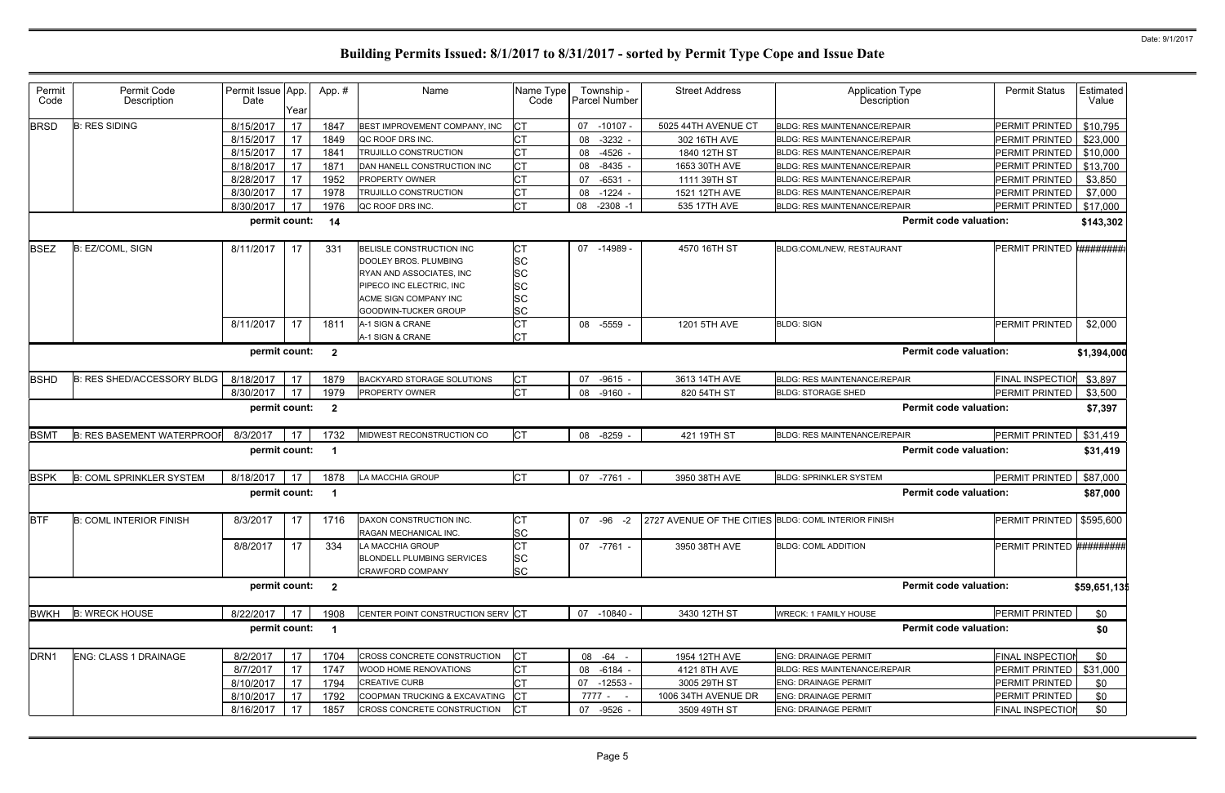| Permit<br>Code   | Permit Code<br>Description        | Permit Issue App.<br>Date | Year | App.#                   | Name                                                                                                                                                              | Name Type<br>Code                                                    | Township -<br>Parcel Number | <b>Street Address</b>                                | <b>Application Type</b><br><b>Description</b> | <b>Permit Status</b>       | Estimated<br>Value |
|------------------|-----------------------------------|---------------------------|------|-------------------------|-------------------------------------------------------------------------------------------------------------------------------------------------------------------|----------------------------------------------------------------------|-----------------------------|------------------------------------------------------|-----------------------------------------------|----------------------------|--------------------|
| <b>BRSD</b>      | <b>B: RES SIDING</b>              | 8/15/2017                 | 17   | 1847                    | BEST IMPROVEMENT COMPANY, INC                                                                                                                                     | IСТ                                                                  | $-10107 -$<br>07            | 5025 44TH AVENUE CT                                  | <b>BLDG: RES MAINTENANCE/REPAIR</b>           | PERMIT PRINTED             | \$10,795           |
|                  |                                   | 8/15/2017                 | 17   | 1849                    | QC ROOF DRS INC.                                                                                                                                                  | <b>CT</b>                                                            | $-3232 -$<br>08             | 302 16TH AVE                                         | <b>BLDG: RES MAINTENANCE/REPAIR</b>           | PERMIT PRINTED             | \$23,000           |
|                  |                                   | 8/15/2017                 | 17   | 1841                    | <b>TRUJILLO CONSTRUCTION</b>                                                                                                                                      | Iст                                                                  | $-4526$<br>08               | 1840 12TH ST                                         | <b>BLDG: RES MAINTENANCE/REPAIR</b>           | PERMIT PRINTED             | \$10,000           |
|                  |                                   | 8/18/2017                 | 17   | 1871                    | DAN HANELL CONSTRUCTION INC                                                                                                                                       | <b>CT</b>                                                            | 08<br>$-8435$               | 1653 30TH AVE                                        | <b>BLDG: RES MAINTENANCE/REPAIR</b>           | PERMIT PRINTED             | \$13,700           |
|                  |                                   | 8/28/2017                 | 17   | 1952                    | <b>PROPERTY OWNER</b>                                                                                                                                             | Iст                                                                  | $-6531$<br>07               | 1111 39TH ST                                         | <b>BLDG: RES MAINTENANCE/REPAIR</b>           | PERMIT PRINTED             | \$3,850            |
|                  |                                   | 8/30/2017                 | 17   | 1978                    | TRUJILLO CONSTRUCTION                                                                                                                                             | <b>CT</b>                                                            | $-1224$<br>08               | 1521 12TH AVE                                        | <b>BLDG: RES MAINTENANCE/REPAIR</b>           | PERMIT PRINTED             | \$7,000            |
|                  |                                   | 8/30/2017                 | 17   | 1976                    | QC ROOF DRS INC.                                                                                                                                                  | <b>CT</b>                                                            | $-2308 - 1$<br>08           | 535 17TH AVE                                         | <b>BLDG: RES MAINTENANCE/REPAIR</b>           | PERMIT PRINTED             | \$17,000           |
|                  |                                   | permit count:             |      | 14                      |                                                                                                                                                                   |                                                                      |                             |                                                      | <b>Permit code valuation:</b>                 |                            | \$143,302          |
| <b>BSEZ</b>      | B: EZ/COML, SIGN                  | 8/11/2017                 | 17   | 331                     | BELISLE CONSTRUCTION INC<br>DOOLEY BROS. PLUMBING<br>RYAN AND ASSOCIATES, INC<br>PIPECO INC ELECTRIC, INC<br>ACME SIGN COMPANY INC<br><b>GOODWIN-TUCKER GROUP</b> | IСТ<br><b>SC</b><br><b>SC</b><br><b>SC</b><br><b>SC</b><br><b>SC</b> | $-14989$<br>07              | 4570 16TH ST                                         | BLDG:COML/NEW, RESTAURANT                     | PERMIT PRINTED             | *#########         |
|                  |                                   | 8/11/2017                 | 17   | 1811                    | A-1 SIGN & CRANE<br>A-1 SIGN & CRANE                                                                                                                              | <b>CT</b><br>IСТ                                                     | 08 -5559 -                  | 1201 5TH AVE                                         | <b>BLDG: SIGN</b>                             | PERMIT PRINTED             | \$2,000            |
|                  |                                   | permit count:             |      | $\overline{\mathbf{2}}$ |                                                                                                                                                                   |                                                                      |                             |                                                      | <b>Permit code valuation:</b>                 |                            | \$1,394,000        |
| <b>BSHD</b>      | B: RES SHED/ACCESSORY BLDG        | 8/18/2017                 | 17   | 1879                    | <b>BACKYARD STORAGE SOLUTIONS</b>                                                                                                                                 | <b>CT</b>                                                            | $-9615 -$<br>07             | 3613 14TH AVE                                        | <b>BLDG: RES MAINTENANCE/REPAIR</b>           | <b>FINAL INSPECTION</b>    | \$3,897            |
|                  |                                   | 8/30/2017                 | 17   | 1979                    | <b>PROPERTY OWNER</b>                                                                                                                                             | <b>CT</b>                                                            | $-9160 -$<br>08             | 820 54TH ST                                          | <b>BLDG: STORAGE SHED</b>                     | PERMIT PRINTED             | \$3,500            |
|                  |                                   | permit count:             |      | $\overline{\mathbf{2}}$ |                                                                                                                                                                   |                                                                      |                             |                                                      | <b>Permit code valuation:</b>                 |                            | \$7,397            |
| <b>BSMT</b>      | <b>B: RES BASEMENT WATERPROOF</b> | 8/3/2017                  | 17   | 1732                    | MIDWEST RECONSTRUCTION CO                                                                                                                                         | <b>CT</b>                                                            | $-8259$<br>08               | 421 19TH ST                                          | <b>BLDG: RES MAINTENANCE/REPAIR</b>           | PERMIT PRINTED             | \$31,419           |
|                  |                                   | permit count:             |      | - 1                     |                                                                                                                                                                   |                                                                      |                             |                                                      | <b>Permit code valuation:</b>                 |                            | \$31,419           |
|                  |                                   |                           |      |                         |                                                                                                                                                                   |                                                                      |                             |                                                      |                                               |                            |                    |
| <b>BSPK</b>      | <b>B: COML SPRINKLER SYSTEM</b>   | 8/18/2017                 | 17   | 1878                    | LA MACCHIA GROUP                                                                                                                                                  | <b>CT</b>                                                            | -7761 -<br>07               | 3950 38TH AVE                                        | <b>BLDG: SPRINKLER SYSTEM</b>                 | PERMIT PRINTED             | \$87,000           |
|                  |                                   | permit count:             |      | - 1                     |                                                                                                                                                                   |                                                                      |                             |                                                      | <b>Permit code valuation:</b>                 |                            | \$87,000           |
| <b>BTF</b>       | <b>B: COML INTERIOR FINISH</b>    | 8/3/2017                  | 17   | 1716                    | DAXON CONSTRUCTION INC.<br>RAGAN MECHANICAL INC.                                                                                                                  | <b>CT</b><br><b>SC</b>                                               | 07 -96<br>$-2$              | 2727 AVENUE OF THE CITIES BLDG: COML INTERIOR FINISH |                                               | PERMIT PRINTED   \$595,600 |                    |
|                  |                                   | 8/8/2017                  | 17   | 334                     | LA MACCHIA GROUP<br><b>BLONDELL PLUMBING SERVICES</b><br>CRAWFORD COMPANY                                                                                         | <b>CT</b><br><b>SC</b><br><b>SC</b>                                  | 07 -7761 -                  | 3950 38TH AVE                                        | <b>BLDG: COML ADDITION</b>                    | PERMIT PRINTED #########   |                    |
|                  |                                   | permit count: 2           |      |                         |                                                                                                                                                                   |                                                                      |                             |                                                      | <b>Permit code valuation:</b>                 |                            | \$59,651,135       |
| <b>BWKH</b>      | <b>B: WRECK HOUSE</b>             | 8/22/2017                 | 17   | 1908                    | CENTER POINT CONSTRUCTION SERV CT                                                                                                                                 |                                                                      | 07 -10840 -                 | 3430 12TH ST                                         | <b>WRECK: 1 FAMILY HOUSE</b>                  | PERMIT PRINTED             | \$0                |
|                  |                                   | permit count:             |      |                         |                                                                                                                                                                   |                                                                      |                             |                                                      | <b>Permit code valuation:</b>                 |                            | \$0                |
|                  | <b>ENG: CLASS 1 DRAINAGE</b>      | 8/2/2017                  | 17   | 1704                    | <b>CROSS CONCRETE CONSTRUCTION</b>                                                                                                                                | <b>CT</b>                                                            | 08 - 64 -                   | 1954 12TH AVE                                        | <b>ENG: DRAINAGE PERMIT</b>                   | FINAL INSPECTION           | \$0                |
|                  |                                   | 8/7/2017                  | 17   | 1747                    | WOOD HOME RENOVATIONS                                                                                                                                             | <b>CT</b>                                                            | -6184 -<br>08               | 4121 8TH AVE                                         | <b>BLDG: RES MAINTENANCE/REPAIR</b>           | PERMIT PRINTED             | \$31,000           |
| DRN <sub>1</sub> |                                   | 8/10/2017                 | 17   | 1794                    | <b>CREATIVE CURB</b>                                                                                                                                              | <b>CT</b>                                                            | 07<br>-12553 -              | 3005 29TH ST                                         | <b>ENG: DRAINAGE PERMIT</b>                   | PERMIT PRINTED             | \$0                |
|                  |                                   | 8/10/2017                 | 17   | 1792                    | COOPMAN TRUCKING & EXCAVATING                                                                                                                                     | $ _{\rm CT}$<br> CT                                                  | 7777 - -                    | 1006 34TH AVENUE DR                                  | <b>ENG: DRAINAGE PERMIT</b>                   | PERMIT PRINTED             | \$0                |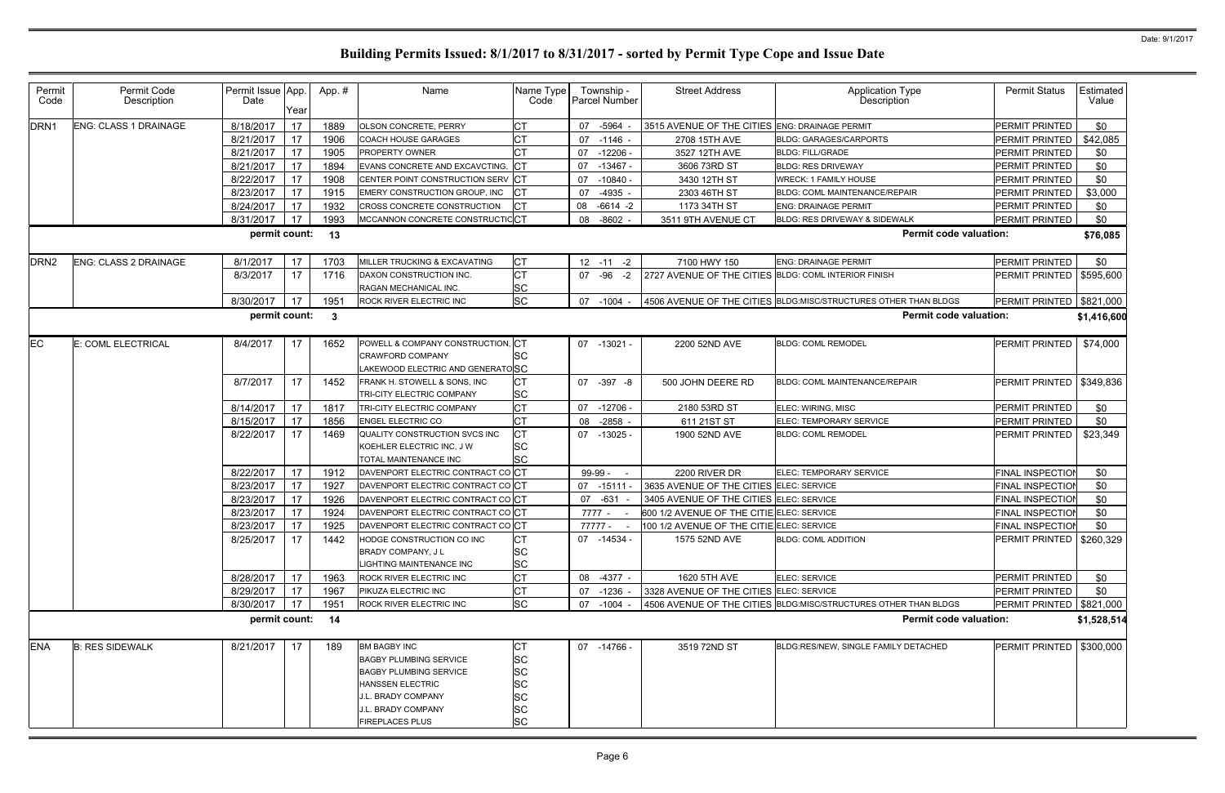| Permit<br>Code   | Permit Code<br>Description   | Permit Issue App.<br>Date | Year | App.#                   | Name                                                                                                                                                                                   | Name Type<br>Code                                                  | Township -<br><b>Parcel Number</b> | <b>Street Address</b>                                | <b>Application Type</b><br>Description                          | <b>Permit Status</b>       | Estimated<br>Value |
|------------------|------------------------------|---------------------------|------|-------------------------|----------------------------------------------------------------------------------------------------------------------------------------------------------------------------------------|--------------------------------------------------------------------|------------------------------------|------------------------------------------------------|-----------------------------------------------------------------|----------------------------|--------------------|
| DRN <sub>1</sub> | ENG: CLASS 1 DRAINAGE        | 8/18/2017                 | 17   | 1889                    | OLSON CONCRETE, PERRY                                                                                                                                                                  | Iст                                                                | -5964<br>07                        | 3515 AVENUE OF THE CITIES ENG: DRAINAGE PERMIT       |                                                                 | PERMIT PRINTED             | \$0                |
|                  |                              | 8/21/2017                 | 17   | 1906                    | COACH HOUSE GARAGES                                                                                                                                                                    | <b>CT</b>                                                          | 07<br>-1146 -                      | 2708 15TH AVE                                        | <b>BLDG: GARAGES/CARPORTS</b>                                   | PERMIT PRINTED             | \$42,085           |
|                  |                              | 8/21/2017                 | 17   | 1905                    | <b>PROPERTY OWNER</b>                                                                                                                                                                  |                                                                    | 07<br>$-12206$                     | 3527 12TH AVE                                        | <b>BLDG: FILL/GRADE</b>                                         | PERMIT PRINTED             | \$0                |
|                  |                              | 8/21/2017                 | 17   | 1894                    | EVANS CONCRETE AND EXCAVCTING,                                                                                                                                                         |                                                                    | 07<br>$-13467 -$                   | 3606 73RD ST                                         | <b>BLDG: RES DRIVEWAY</b>                                       | PERMIT PRINTED             | \$0                |
|                  |                              | 8/22/2017                 | 17   | 1908                    | CENTER POINT CONSTRUCTION SERV CT                                                                                                                                                      |                                                                    | 07<br>$-10840 -$                   | 3430 12TH ST                                         | <b>WRECK: 1 FAMILY HOUSE</b>                                    | PERMIT PRINTED             | \$0                |
|                  |                              | 8/23/2017                 | 17   | 1915                    | EMERY CONSTRUCTION GROUP, INC                                                                                                                                                          |                                                                    | $-4935$<br>07                      | 2303 46TH ST                                         | BLDG: COML MAINTENANCE/REPAIR                                   | PERMIT PRINTED             | \$3,000            |
|                  |                              | 8/24/2017                 | 17   | 1932                    | CROSS CONCRETE CONSTRUCTION                                                                                                                                                            | ICT                                                                | 08<br>$-6614 -2$                   | 1173 34TH ST                                         | <b>ENG: DRAINAGE PERMIT</b>                                     | PERMIT PRINTED             | \$0                |
|                  |                              | 8/31/2017                 | 17   | 1993                    | MCCANNON CONCRETE CONSTRUCTICCT                                                                                                                                                        |                                                                    | $-8602 -$<br>08                    | 3511 9TH AVENUE CT                                   | BLDG: RES DRIVEWAY & SIDEWALK                                   | PERMIT PRINTED             | \$0                |
|                  |                              | permit count:             |      | 13                      |                                                                                                                                                                                        |                                                                    |                                    |                                                      | <b>Permit code valuation:</b>                                   |                            | \$76,085           |
| DRN <sub>2</sub> | <b>ENG: CLASS 2 DRAINAGE</b> | 8/1/2017                  | 17   | 1703                    | MILLER TRUCKING & EXCAVATING                                                                                                                                                           | <b>CT</b>                                                          | $12 - 11 - 2$                      | 7100 HWY 150                                         | ENG: DRAINAGE PERMIT                                            | PERMIT PRINTED             | \$0                |
|                  |                              | 8/3/2017                  | 17   | 1716                    | DAXON CONSTRUCTION INC.<br>RAGAN MECHANICAL INC.                                                                                                                                       | <b>CT</b><br><b>SC</b>                                             | $-96 -2$<br>07                     | 2727 AVENUE OF THE CITIES BLDG: COML INTERIOR FINISH |                                                                 | PERMIT PRINTED   \$595,600 |                    |
|                  |                              | 8/30/2017                 | 17   | 1951                    | ROCK RIVER ELECTRIC INC                                                                                                                                                                | <b>SC</b>                                                          | 07 -1004 -                         |                                                      | 4506 AVENUE OF THE CITIES BLDG:MISC/STRUCTURES OTHER THAN BLDGS | PERMIT PRINTED   \$821,000 |                    |
|                  |                              | permit count:             |      | $\overline{\mathbf{3}}$ |                                                                                                                                                                                        |                                                                    |                                    |                                                      | <b>Permit code valuation:</b>                                   |                            | \$1,416,600        |
| EC               | E: COML ELECTRICAL           | 8/4/2017                  | 17   | 1652                    | POWELL & COMPANY CONSTRUCTION, CT<br><b>CRAWFORD COMPANY</b><br>LAKEWOOD ELECTRIC AND GENERATOSC                                                                                       | <b>SC</b>                                                          | 07 -13021 -                        | 2200 52ND AVE                                        | <b>BLDG: COML REMODEL</b>                                       | PERMIT PRINTED             | \$74,000           |
|                  |                              | 8/7/2017                  | 17   | 1452                    | FRANK H. STOWELL & SONS, INC<br>TRI-CITY ELECTRIC COMPANY                                                                                                                              | <b>CT</b><br><b>SC</b>                                             | 07 -397 -8                         | 500 JOHN DEERE RD                                    | <b>BLDG: COML MAINTENANCE/REPAIR</b>                            | PERMIT PRINTED             | \$349,836          |
|                  |                              | 8/14/2017                 | 17   | 1817                    | TRI-CITY ELECTRIC COMPANY                                                                                                                                                              | <b>CT</b>                                                          | 07<br>$-12706 -$                   | 2180 53RD ST                                         | ELEC: WIRING, MISC                                              | PERMIT PRINTED             | \$0                |
|                  |                              | 8/15/2017                 | 17   | 1856                    | <b>ENGEL ELECTRIC CO</b>                                                                                                                                                               | <b>CT</b>                                                          | $-2858 -$<br>08                    | 611 21ST ST                                          | ELEC: TEMPORARY SERVICE                                         | PERMIT PRINTED             | \$0                |
|                  |                              | 8/22/2017                 | 17   | 1469                    | QUALITY CONSTRUCTION SVCS INC<br>KOEHLER ELECTRIC INC, J W<br>TOTAL MAINTENANCE INC                                                                                                    | СT<br><b>SC</b><br><b>SC</b>                                       | 07<br>-13025 -                     | 1900 52ND AVE                                        | <b>BLDG: COML REMODEL</b>                                       | PERMIT PRINTED             | \$23,349           |
|                  |                              | 8/22/2017                 | 17   | 1912                    | DAVENPORT ELECTRIC CONTRACT COCT                                                                                                                                                       |                                                                    | 99-99 -                            | 2200 RIVER DR                                        | ELEC: TEMPORARY SERVICE                                         | FINAL INSPECTION           | \$0                |
|                  |                              | 8/23/2017                 | 17   | 1927                    | DAVENPORT ELECTRIC CONTRACT COCT                                                                                                                                                       |                                                                    | 07<br>$-15111$                     | 3635 AVENUE OF THE CITIES ELEC: SERVICE              |                                                                 | <b>FINAL INSPECTIOI</b>    | \$0                |
|                  |                              | 8/23/2017                 | 17   | 1926                    | DAVENPORT ELECTRIC CONTRACT COCT                                                                                                                                                       |                                                                    | 07<br>-631                         | 3405 AVENUE OF THE CITIES ELEC: SERVICE              |                                                                 | <b>FINAL INSPECTION</b>    | \$0                |
|                  |                              | 8/23/2017                 | 17   | 1924                    | DAVENPORT ELECTRIC CONTRACT COCT                                                                                                                                                       |                                                                    | 7777 -                             | 600 1/2 AVENUE OF THE CITIE ELEC: SERVICE            |                                                                 | FINAL INSPECTION           | \$0                |
|                  |                              | 8/23/2017 17              |      | 1925                    | DAVENPORT ELECTRIC CONTRACT COCT                                                                                                                                                       |                                                                    | 77777                              | 100 1/2 AVENUE OF THE CITIE ELEC: SERVICE            |                                                                 | FINAL INSPECTION           | \$0                |
|                  |                              | 8/25/2017                 | 17   | 1442                    | HODGE CONSTRUCTION CO INC<br>BRADY COMPANY, J L<br>LIGHTING MAINTENANCE INC                                                                                                            | СT<br>SC<br><b>SC</b>                                              | 07 -14534 -                        | 1575 52ND AVE                                        | <b>BLDG: COML ADDITION</b>                                      | PERMIT PRINTED   \$260,329 |                    |
|                  |                              | 8/28/2017                 | 17   | 1963                    | <b>ROCK RIVER ELECTRIC INC</b>                                                                                                                                                         | <b>CT</b>                                                          | -4377 -<br>08                      | 1620 5TH AVE                                         | ELEC: SERVICE                                                   | PERMIT PRINTED             | \$0                |
|                  |                              | 8/29/2017                 | 17   | 1967                    | PIKUZA ELECTRIC INC                                                                                                                                                                    |                                                                    | 07<br>-1236 -                      | 3328 AVENUE OF THE CITIES ELEC: SERVICE              |                                                                 | <b>PERMIT PRINTED</b>      | \$0                |
|                  |                              | 8/30/2017                 | 17   | 1951                    | ROCK RIVER ELECTRIC INC                                                                                                                                                                | <b>SC</b>                                                          | $-1004 -$<br>07                    |                                                      | 4506 AVENUE OF THE CITIES BLDG:MISC/STRUCTURES OTHER THAN BLDGS | PERMIT PRINTED   \$821,000 |                    |
|                  |                              | permit count: 14          |      |                         |                                                                                                                                                                                        |                                                                    |                                    |                                                      | <b>Permit code valuation:</b>                                   |                            | \$1,528,514        |
| <b>ENA</b>       | <b>B: RES SIDEWALK</b>       | 8/21/2017                 | 17   | 189                     | <b>BM BAGBY INC</b><br><b>BAGBY PLUMBING SERVICE</b><br><b>BAGBY PLUMBING SERVICE</b><br><b>HANSSEN ELECTRIC</b><br>J.L. BRADY COMPANY<br>J.L. BRADY COMPANY<br><b>FIREPLACES PLUS</b> | ЮL<br><b>SC</b><br><b>SC</b><br>SC<br>SC<br><b>SC</b><br><b>SC</b> | 07 -14766 -                        | 3519 72ND ST                                         | BLDG:RES/NEW. SINGLE FAMILY DETACHED                            | <b>PERMIT PRINTED</b>      | \$300,000          |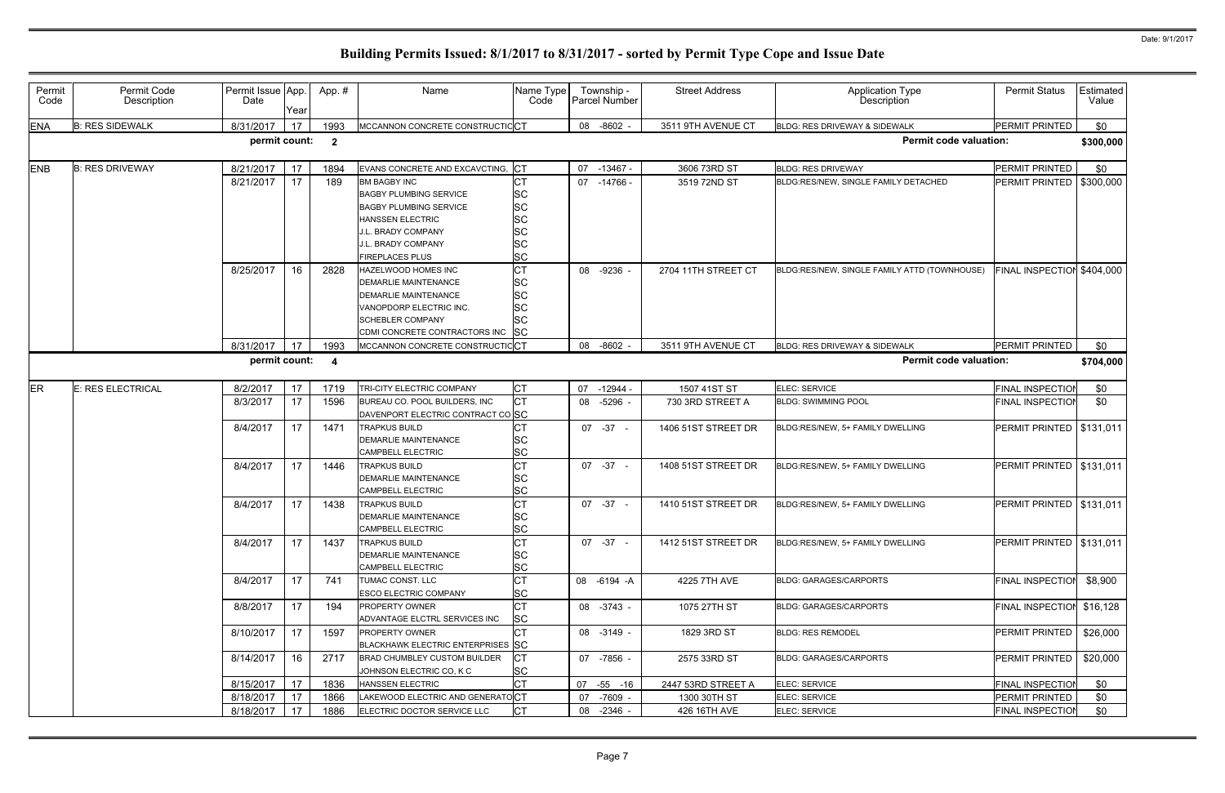| Permit<br>Code | Permit Code<br>Description | Permit Issue App.<br>Date | Year | App.#                   | Name                              | Name Type<br>Code | Township -<br>Parcel Number | <b>Street Address</b> | Application Type<br>Description              | <b>Permit Status</b>       | Estimated<br>Value |
|----------------|----------------------------|---------------------------|------|-------------------------|-----------------------------------|-------------------|-----------------------------|-----------------------|----------------------------------------------|----------------------------|--------------------|
| <b>ENA</b>     | <b>B: RES SIDEWALK</b>     | 8/31/2017                 | 17   | 1993                    | MCCANNON CONCRETE CONSTRUCTICCT   |                   | 08 -8602 -                  | 3511 9TH AVENUE CT    | BLDG: RES DRIVEWAY & SIDEWALK                | PERMIT PRINTED             | \$0                |
|                |                            | permit count:             |      | $\overline{\mathbf{2}}$ |                                   |                   |                             |                       | <b>Permit code valuation:</b>                |                            | \$300,000          |
| ENB            | <b>B: RES DRIVEWAY</b>     | 8/21/2017                 | 17   | 1894                    | EVANS CONCRETE AND EXCAVCTING,    | <b>ICT</b>        | 07<br>$-13467 -$            | 3606 73RD ST          | <b>BLDG: RES DRIVEWAY</b>                    | PERMIT PRINTED             | \$0                |
|                |                            | 8/21/2017                 | 17   | 189                     | <b>BM BAGBY INC</b>               | C <sub>1</sub>    | 07<br>-14766 -              | 3519 72ND ST          | BLDG:RES/NEW, SINGLE FAMILY DETACHED         | PERMIT PRINTED   \$300,000 |                    |
|                |                            |                           |      |                         | <b>BAGBY PLUMBING SERVICE</b>     | <b>SC</b>         |                             |                       |                                              |                            |                    |
|                |                            |                           |      |                         | <b>BAGBY PLUMBING SERVICE</b>     | <b>SC</b>         |                             |                       |                                              |                            |                    |
|                |                            |                           |      |                         | <b>HANSSEN ELECTRIC</b>           | <b>SC</b>         |                             |                       |                                              |                            |                    |
|                |                            |                           |      |                         | J.L. BRADY COMPANY                | <b>SC</b>         |                             |                       |                                              |                            |                    |
|                |                            |                           |      |                         | J.L. BRADY COMPANY                | <b>SC</b>         |                             |                       |                                              |                            |                    |
|                |                            |                           |      |                         | <b>FIREPLACES PLUS</b>            | <b>SC</b>         |                             |                       |                                              |                            |                    |
|                |                            | 8/25/2017                 | 16   | 2828                    | HAZELWOOD HOMES INC               | <b>CT</b>         | 08 -9236 -                  | 2704 11TH STREET CT   | BLDG:RES/NEW, SINGLE FAMILY ATTD (TOWNHOUSE) | FINAL INSPECTION           | \$404,000          |
|                |                            |                           |      |                         | <b>DEMARLIE MAINTENANCE</b>       | <b>SC</b>         |                             |                       |                                              |                            |                    |
|                |                            |                           |      |                         | <b>DEMARLIE MAINTENANCE</b>       | <b>SC</b>         |                             |                       |                                              |                            |                    |
|                |                            |                           |      |                         | VANOPDORP ELECTRIC INC.           | <b>SC</b>         |                             |                       |                                              |                            |                    |
|                |                            |                           |      |                         | <b>SCHEBLER COMPANY</b>           | <b>SC</b>         |                             |                       |                                              |                            |                    |
|                |                            |                           |      |                         | CDMI CONCRETE CONTRACTORS INC     | SC                |                             |                       |                                              |                            |                    |
|                |                            | 8/31/2017                 | 17   | 1993                    | MCCANNON CONCRETE CONSTRUCTICCT   |                   | $-8602 -$<br>08             | 3511 9TH AVENUE CT    | BLDG: RES DRIVEWAY & SIDEWALK                | PERMIT PRINTED             | \$0                |
|                |                            | permit count:             |      | $\overline{\mathbf{4}}$ |                                   |                   |                             |                       | <b>Permit code valuation:</b>                |                            | \$704,000          |
| <b>ER</b>      | <b>E: RES ELECTRICAL</b>   | 8/2/2017                  | 17   | 1719                    | TRI-CITY ELECTRIC COMPANY         | <b>CT</b>         | 07<br>$-12944-$             | 1507 41ST ST          | ELEC: SERVICE                                | <b>FINAL INSPECTION</b>    | \$0                |
|                |                            | 8/3/2017                  | 17   | 1596                    | BUREAU CO. POOL BUILDERS, INC     | <b>CT</b>         | $-5296$ -<br>08             | 730 3RD STREET A      | <b>BLDG: SWIMMING POOL</b>                   | <b>FINAL INSPECTION</b>    | \$0                |
|                |                            |                           |      |                         | DAVENPORT ELECTRIC CONTRACT CO SC |                   |                             |                       |                                              |                            |                    |
|                |                            | 8/4/2017                  | 17   | 1471                    | <b>TRAPKUS BUILD</b>              |                   | $07 -37 -$                  | 1406 51ST STREET DR   | BLDG:RES/NEW, 5+ FAMILY DWELLING             | PERMIT PRINTED   \$131,011 |                    |
|                |                            |                           |      |                         | <b>DEMARLIE MAINTENANCE</b>       | <b>SC</b>         |                             |                       |                                              |                            |                    |
|                |                            |                           |      |                         | <b>CAMPBELL ELECTRIC</b>          | <b>SC</b>         |                             |                       |                                              |                            |                    |
|                |                            | 8/4/2017                  | 17   | 1446                    | <b>TRAPKUS BUILD</b>              | <b>CT</b>         | $07 -37 -$                  | 1408 51ST STREET DR   | BLDG:RES/NEW, 5+ FAMILY DWELLING             | PERMIT PRINTED   \$131,011 |                    |
|                |                            |                           |      |                         | <b>DEMARLIE MAINTENANCE</b>       | <b>SC</b>         |                             |                       |                                              |                            |                    |
|                |                            |                           |      |                         | <b>CAMPBELL ELECTRIC</b>          | <b>SC</b>         |                             |                       |                                              |                            |                    |
|                |                            | 8/4/2017                  | 17   | 1438                    | TRAPKUS BUILD                     | <b>CT</b>         | $07 - 37 -$                 | 1410 51ST STREET DR   | BLDG:RES/NEW, 5+ FAMILY DWELLING             | PERMIT PRINTED             | \$131,011          |
|                |                            |                           |      |                         | DEMARLIE MAINTENANCE              | <b>SC</b>         |                             |                       |                                              |                            |                    |
|                |                            |                           |      |                         | CAMPBELL ELECTRIC                 | <b>SC</b>         |                             |                       |                                              |                            |                    |
|                |                            | 8/4/2017                  | 17   | 1437                    | <b>TRAPKUS BUILD</b>              | <b>CT</b>         | $07 - 37 -$                 | 1412 51ST STREET DR   | BLDG:RES/NEW, 5+ FAMILY DWELLING             | PERMIT PRINTED   \$131,011 |                    |
|                |                            |                           |      |                         | <b>DEMARLIE MAINTENANCE</b>       | SC                |                             |                       |                                              |                            |                    |
|                |                            |                           |      |                         | <b>CAMPBELL ELECTRIC</b>          | <b>SC</b>         |                             |                       |                                              |                            |                    |
|                |                            | 8/4/2017                  | 17   | 741                     | TUMAC CONST. LLC                  | <b>CT</b>         | 08 -6194 -A                 | 4225 7TH AVE          | <b>BLDG: GARAGES/CARPORTS</b>                | <b>FINAL INSPECTION</b>    | \$8,900            |
|                |                            |                           |      |                         | <b>ESCO ELECTRIC COMPANY</b>      | <b>SC</b>         |                             |                       |                                              |                            |                    |
|                |                            | 8/8/2017                  | 17   | 194                     | <b>PROPERTY OWNER</b>             | <b>CT</b>         | 08 -3743 -                  | 1075 27TH ST          | <b>BLDG: GARAGES/CARPORTS</b>                | FINAL INSPECTION \$16,128  |                    |
|                |                            |                           |      |                         | ADVANTAGE ELCTRL SERVICES INC     | <b>SC</b>         |                             |                       |                                              |                            |                    |
|                |                            | 8/10/2017                 | 17   | 1597                    | <b>PROPERTY OWNER</b>             |                   | 08 -3149 -                  | 1829 3RD ST           | <b>BLDG: RES REMODEL</b>                     | <b>PERMIT PRINTED</b>      | \$26,000           |
|                |                            |                           |      |                         | BLACKHAWK ELECTRIC ENTERPRISES SC |                   |                             |                       |                                              |                            |                    |
|                |                            | 8/14/2017                 | 16   | 2717                    | BRAD CHUMBLEY CUSTOM BUILDER      | IСТ               | 07 -7856 -                  | 2575 33RD ST          | <b>BLDG: GARAGES/CARPORTS</b>                | PERMIT PRINTED             | \$20,000           |
|                |                            |                           |      |                         | JOHNSON ELECTRIC CO, K C          | <b>SC</b>         |                             |                       |                                              |                            |                    |
|                |                            | 8/15/2017                 | 17   | 1836                    | <b>HANSSEN ELECTRIC</b>           | <b>CT</b>         | 07 -55 -16                  | 2447 53RD STREET A    | <b>ELEC: SERVICE</b>                         | <b>FINAL INSPECTION</b>    | \$0                |
|                |                            | 8/18/2017                 | 17   | 1866                    | LAKEWOOD ELECTRIC AND GENERATOCT  |                   | $-7609 -$<br>07             | 1300 30TH ST          | ELEC: SERVICE                                | PERMIT PRINTED             | \$0                |
|                |                            | 8/18/2017                 | 17   | 1886                    | ELECTRIC DOCTOR SERVICE LLC       | <b>CT</b>         | $-2346 -$<br>08             | 426 16TH AVE          | <b>ELEC: SERVICE</b>                         | <b>FINAL INSPECTION</b>    | \$0                |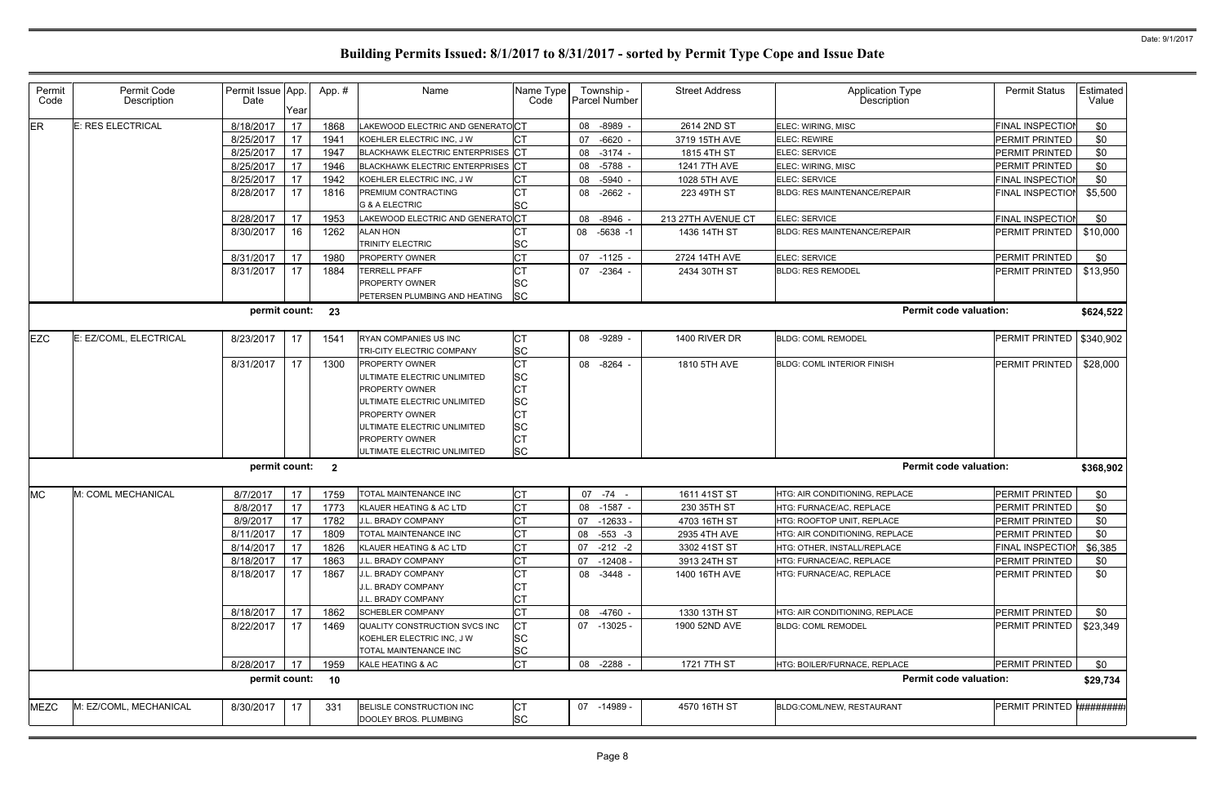| Permit<br>Code | Permit Code<br>Description | Permit Issue App.<br>Date | Year | App. # | Name                                                                                                                                                                                                                  | Name Type<br>Code                                                                             | Township -<br><b>Parcel Number</b> | <b>Street Address</b> | <b>Application Type</b><br>Description | <b>Permit Status</b>     | Estimated<br>Value |
|----------------|----------------------------|---------------------------|------|--------|-----------------------------------------------------------------------------------------------------------------------------------------------------------------------------------------------------------------------|-----------------------------------------------------------------------------------------------|------------------------------------|-----------------------|----------------------------------------|--------------------------|--------------------|
| ER             | E: RES ELECTRICAL          | 8/18/2017                 | 17   | 1868   | LAKEWOOD ELECTRIC AND GENERATOCT                                                                                                                                                                                      |                                                                                               | -8989 -<br>08                      | 2614 2ND ST           | ELEC: WIRING, MISC                     | <b>FINAL INSPECTION</b>  | \$0                |
|                |                            | 8/25/2017                 | 17   | 1941   | KOEHLER ELECTRIC INC, J W                                                                                                                                                                                             | <b>CT</b>                                                                                     | $-6620 -$<br>07                    | 3719 15TH AVE         | <b>ELEC: REWIRE</b>                    | PERMIT PRINTED           | \$0                |
|                |                            | 8/25/2017                 | 17   | 1947   | BLACKHAWK ELECTRIC ENTERPRISES CT                                                                                                                                                                                     |                                                                                               | 08<br>$-3174 -$                    | 1815 4TH ST           | ELEC: SERVICE                          | PERMIT PRINTED           | \$0                |
|                |                            | 8/25/2017                 | 17   | 1946   | BLACKHAWK ELECTRIC ENTERPRISES CT                                                                                                                                                                                     |                                                                                               | 08<br>-5788 -                      | 1241 7TH AVE          | ELEC: WIRING, MISC                     | PERMIT PRINTED           | \$0                |
|                |                            | 8/25/2017                 | 17   | 1942   | KOEHLER ELECTRIC INC, J W                                                                                                                                                                                             | <b>CT</b>                                                                                     | 08<br>-5940 -                      | 1028 5TH AVE          | ELEC: SERVICE                          | FINAL INSPECTION         | \$0                |
|                |                            | 8/28/2017                 | 17   | 1816   | PREMIUM CONTRACTING<br><b>G &amp; A ELECTRIC</b>                                                                                                                                                                      | <b>CT</b><br><b>SC</b>                                                                        | $-2662 -$<br>08                    | 223 49TH ST           | <b>BLDG: RES MAINTENANCE/REPAIR</b>    | <b>FINAL INSPECTION</b>  | \$5,500            |
|                |                            | 8/28/2017                 | 17   | 1953   | LAKEWOOD ELECTRIC AND GENERATOCT                                                                                                                                                                                      |                                                                                               | 08<br>$-8946 -$                    | 213 27TH AVENUE CT    | ELEC: SERVICE                          | <b>FINAL INSPECTIOI</b>  | \$0                |
|                |                            | 8/30/2017                 | 16   | 1262   | <b>ALAN HON</b><br>TRINITY ELECTRIC                                                                                                                                                                                   | <b>CT</b><br><b>SC</b>                                                                        | $-5638 - 1$<br>08                  | 1436 14TH ST          | <b>BLDG: RES MAINTENANCE/REPAIR</b>    | PERMIT PRINTED           | \$10,000           |
|                |                            | 8/31/2017                 | 17   | 1980   | PROPERTY OWNER                                                                                                                                                                                                        | <b>CT</b>                                                                                     | 07<br>$-1125 -$                    | 2724 14TH AVE         | ELEC: SERVICE                          | PERMIT PRINTED           | \$0                |
|                |                            | 8/31/2017                 | 17   | 1884   | <b>TERRELL PFAFF</b><br><b>PROPERTY OWNER</b><br>PETERSEN PLUMBING AND HEATING                                                                                                                                        | lSС<br><b>SC</b>                                                                              | 07 -2364 -                         | 2434 30TH ST          | <b>BLDG: RES REMODEL</b>               | PERMIT PRINTED           | \$13,950           |
|                |                            | permit count: 23          |      |        |                                                                                                                                                                                                                       |                                                                                               |                                    |                       | <b>Permit code valuation:</b>          |                          | \$624,522          |
| <b>EZC</b>     | E: EZ/COML, ELECTRICAL     | 8/23/2017                 | 17   | 1541   | RYAN COMPANIES US INC<br><b>TRI-CITY ELECTRIC COMPANY</b>                                                                                                                                                             | <b>CT</b><br><b>SC</b>                                                                        | 08 -9289 -                         | 1400 RIVER DR         | <b>BLDG: COML REMODEL</b>              | PERMIT PRINTED           | \$340,902          |
|                |                            | 8/31/2017                 | 17   | 1300   | <b>PROPERTY OWNER</b><br>ULTIMATE ELECTRIC UNLIMITED<br><b>PROPERTY OWNER</b><br>JLTIMATE ELECTRIC UNLIMITED<br><b>PROPERTY OWNER</b><br>JLTIMATE ELECTRIC UNLIMITED<br>PROPERTY OWNER<br>ULTIMATE ELECTRIC UNLIMITED | <b>CT</b><br><b>SC</b><br><b>CT</b><br><b>SC</b><br><b>CT</b><br><b>SC</b><br>СT<br><b>SC</b> | -8264 -<br>08                      | 1810 5TH AVE          | <b>BLDG: COML INTERIOR FINISH</b>      | PERMIT PRINTED           | \$28,000           |
|                |                            | permit count: 2           |      |        |                                                                                                                                                                                                                       |                                                                                               |                                    |                       | <b>Permit code valuation:</b>          |                          | \$368,902          |
| <b>MC</b>      | M: COML MECHANICAL         | 8/7/2017                  | 17   | 1759   | TOTAL MAINTENANCE INC                                                                                                                                                                                                 | <b>CT</b>                                                                                     | $07 - 74 -$                        | 1611 41ST ST          | HTG: AIR CONDITIONING, REPLACE         | PERMIT PRINTED           | \$0                |
|                |                            | 8/8/2017                  | 17   | 1773   | KLAUER HEATING & AC LTD                                                                                                                                                                                               | <b>CT</b>                                                                                     | $-1587 -$<br>08                    | 230 35TH ST           | <b>HTG: FURNACE/AC, REPLACE</b>        | PERMIT PRINTED           | \$0                |
|                |                            | 8/9/2017                  | 17   | 1782   | <b>J.L. BRADY COMPANY</b>                                                                                                                                                                                             | <b>CT</b>                                                                                     | 07<br>-12633 -                     | 4703 16TH ST          | HTG: ROOFTOP UNIT, REPLACE             | PERMIT PRINTED           | \$0                |
|                |                            | 8/11/2017                 | 17   | 1809   | TOTAL MAINTENANCE INC                                                                                                                                                                                                 | <b>CT</b>                                                                                     | 08 -553 -3                         | 2935 4TH AVE          | HTG: AIR CONDITIONING, REPLACE         | PERMIT PRINTED           | \$0                |
|                |                            | 8/14/2017                 | 17   | 1826   | KLAUER HEATING & AC LTD                                                                                                                                                                                               | Iст                                                                                           | $-212 -2$<br>07                    | 3302 41ST ST          | HTG: OTHER, INSTALL/REPLACE            | FINAL INSPECTION         | \$6,385            |
|                |                            | 8/18/2017                 | 17   | 1863   | J.L. BRADY COMPANY                                                                                                                                                                                                    | <b>CT</b>                                                                                     | 07<br>-12408 -                     | 3913 24TH ST          | HTG: FURNACE/AC, REPLACE               | PERMIT PRINTED           | \$0                |
|                |                            | 8/18/2017                 | 17   | 1867   | J.L. BRADY COMPANY<br><b>J.L. BRADY COMPANY</b><br>J.L. BRADY COMPANY                                                                                                                                                 | <b>CT</b><br>СT<br><b>CT</b>                                                                  | 08 -3448 -                         | 1400 16TH AVE         | HTG: FURNACE/AC, REPLACE               | PERMIT PRINTED           | \$0                |
|                |                            | 8/18/2017                 | 17   | 1862   | <b>SCHEBLER COMPANY</b>                                                                                                                                                                                               | <b>CT</b>                                                                                     | -4760 -<br>08                      | 1330 13TH ST          | HTG: AIR CONDITIONING, REPLACE         | PERMIT PRINTED           | \$0                |
|                |                            | 8/22/2017                 | 17   | 1469   | QUALITY CONSTRUCTION SVCS INC<br>KOEHLER ELECTRIC INC, J W<br>TOTAL MAINTENANCE INC                                                                                                                                   | <b>CT</b><br><b>SC</b><br><b>SC</b>                                                           | 07 -13025 -                        | 1900 52ND AVE         | <b>BLDG: COML REMODEL</b>              | PERMIT PRINTED           | \$23,349           |
|                |                            | 8/28/2017                 | 17   | 1959   | KALE HEATING & AC                                                                                                                                                                                                     | <b>CT</b>                                                                                     | $-2288 -$<br>08                    | 1721 7TH ST           | HTG: BOILER/FURNACE, REPLACE           | PERMIT PRINTED           | \$0                |
|                |                            | permit count: 10          |      |        |                                                                                                                                                                                                                       |                                                                                               |                                    |                       | <b>Permit code valuation:</b>          |                          | \$29,734           |
| <b>MEZC</b>    | M: EZ/COML, MECHANICAL     | 8/30/2017                 | -17  | 331    | BELISLE CONSTRUCTION INC<br>DOOLEY BROS. PLUMBING                                                                                                                                                                     | <b>CT</b><br><b>SC</b>                                                                        | 07 -14989 -                        | 4570 16TH ST          | BLDG:COML/NEW, RESTAURANT              | PERMIT PRINTED ######### |                    |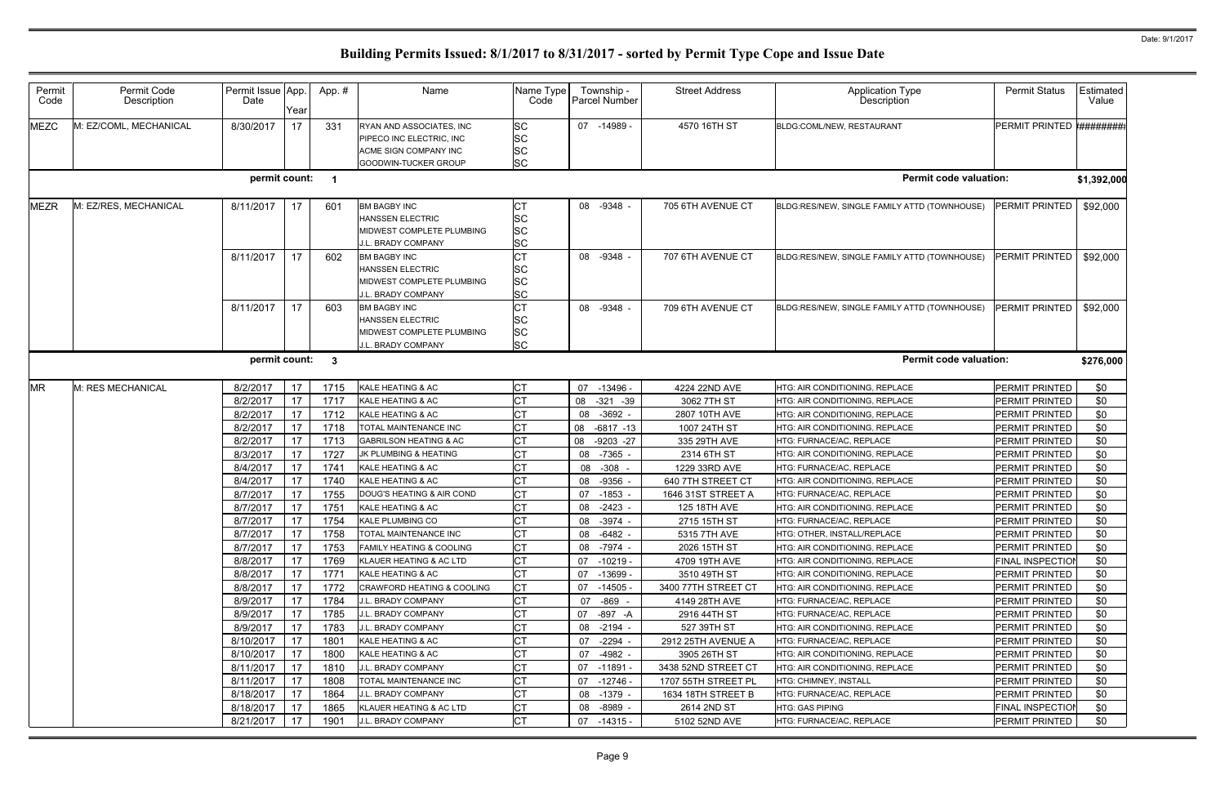| Permit<br>Code | Permit Code<br>Description | Permit Issue App.<br>Date | Year     | App. #                   | Name                                                                                                     | Name Type<br>Code                                | Township -<br>Parcel Number      | <b>Street Address</b>             | <b>Application Type</b><br>Description       | <b>Permit Status</b>               | Estimated<br>Value |
|----------------|----------------------------|---------------------------|----------|--------------------------|----------------------------------------------------------------------------------------------------------|--------------------------------------------------|----------------------------------|-----------------------------------|----------------------------------------------|------------------------------------|--------------------|
| <b>MEZC</b>    | M: EZ/COML, MECHANICAL     | 8/30/2017                 | 17       | 331                      | RYAN AND ASSOCIATES, INC<br>PIPECO INC ELECTRIC, INC<br>ACME SIGN COMPANY INC<br>GOODWIN-TUCKER GROUP    | <b>SC</b><br><b>SC</b><br><b>SC</b><br><b>SC</b> | 07 -14989 -                      | 4570 16TH ST                      | BLDG:COML/NEW, RESTAURANT                    | PERMIT PRINTED #########           |                    |
|                |                            | permit count:             |          | $\overline{\mathbf{1}}$  |                                                                                                          |                                                  |                                  |                                   | <b>Permit code valuation:</b>                |                                    | \$1,392,000        |
| <b>MEZR</b>    | M: EZ/RES, MECHANICAL      | 8/11/2017                 | 17       | 601                      | <b>BM BAGBY INC</b><br><b>HANSSEN ELECTRIC</b><br>MIDWEST COMPLETE PLUMBING<br><b>J.L. BRADY COMPANY</b> | IСТ<br><b>SC</b><br><b>SC</b><br><b>SC</b>       | 08 -9348 -                       | 705 6TH AVENUE CT                 | BLDG:RES/NEW, SINGLE FAMILY ATTD (TOWNHOUSE) | <b>PERMIT PRINTED</b>              | \$92,000           |
|                |                            | 8/11/2017                 | 17       | 602                      | <b>BM BAGBY INC</b><br><b>HANSSEN ELECTRIC</b><br>MIDWEST COMPLETE PLUMBING<br>J.L. BRADY COMPANY        | <b>CT</b><br><b>SC</b><br><b>SC</b><br><b>SC</b> | $-9348 -$<br>08                  | 707 6TH AVENUE CT                 | BLDG:RES/NEW, SINGLE FAMILY ATTD (TOWNHOUSE) | PERMIT PRINTED                     | \$92,000           |
|                |                            | 8/11/2017                 | 17       | 603                      | <b>BM BAGBY INC</b><br><b>HANSSEN ELECTRIC</b><br>MIDWEST COMPLETE PLUMBING<br>J.L. BRADY COMPANY        | <b>CT</b><br><b>SC</b><br><b>SC</b><br>lsc       | $-9348 -$<br>08                  | 709 6TH AVENUE CT                 | BLDG:RES/NEW, SINGLE FAMILY ATTD (TOWNHOUSE) | PERMIT PRINTED                     | \$92,000           |
|                |                            | permit count:             |          | $\overline{\phantom{a}}$ |                                                                                                          |                                                  |                                  |                                   | <b>Permit code valuation:</b>                |                                    | \$276,000          |
| <b>MR</b>      | M: RES MECHANICAL          | 8/2/2017                  | 17       | 1715                     | KALE HEATING & AC                                                                                        | <b>CT</b>                                        | 07<br>$-13496 -$                 | 4224 22ND AVE                     | HTG: AIR CONDITIONING, REPLACE               | PERMIT PRINTED                     | \$0                |
|                |                            | 8/2/2017                  | 17       | 1717                     | KALE HEATING & AC                                                                                        | <b>CT</b>                                        | 08<br>$-321 - 39$                | 3062 7TH ST                       | HTG: AIR CONDITIONING, REPLACE               | PERMIT PRINTED                     | \$0                |
|                |                            | 8/2/2017                  | 17       | 1712                     | KALE HEATING & AC                                                                                        | <b>CT</b>                                        | $-3692 -$<br>08                  | 2807 10TH AVE                     | HTG: AIR CONDITIONING, REPLACE               | PERMIT PRINTED                     | \$0                |
|                |                            | 8/2/2017                  | 17       | 1718                     | TOTAL MAINTENANCE INC                                                                                    | <b>CT</b>                                        | 08<br>$-6817 - 13$               | 1007 24TH ST                      | HTG: AIR CONDITIONING, REPLACE               | PERMIT PRINTED                     | \$0                |
|                |                            | 8/2/2017                  | 17       | 1713                     | <b>GABRILSON HEATING &amp; AC</b>                                                                        | <b>CT</b>                                        | 08<br>$-9203 -27$                | 335 29TH AVE                      | HTG: FURNACE/AC, REPLACE                     | PERMIT PRINTED                     | \$0                |
|                |                            | 8/3/2017                  | 17       | 1727                     | JK PLUMBING & HEATING                                                                                    | <b>CT</b>                                        | $-7365$<br>08                    | 2314 6TH ST                       | HTG: AIR CONDITIONING, REPLACE               | PERMIT PRINTED                     | \$0                |
|                |                            | 8/4/2017                  | 17       | 1741                     | KALE HEATING & AC                                                                                        | <b>CT</b>                                        | $-308$<br>08                     | 1229 33RD AVE                     | HTG: FURNACE/AC, REPLACE                     |                                    | \$0                |
|                |                            |                           |          |                          |                                                                                                          |                                                  |                                  |                                   |                                              | PERMIT PRINTED                     |                    |
|                |                            | 8/4/2017                  | 17       | 1740                     | KALE HEATING & AC                                                                                        | <b>CT</b>                                        | $-9356$<br>08                    | 640 7TH STREET CT                 | HTG: AIR CONDITIONING, REPLACE               | PERMIT PRINTED                     | \$0                |
|                |                            | 8/7/2017                  | 17       | 1755                     | DOUG'S HEATING & AIR COND                                                                                | СT                                               | $-1853 -$<br>07                  | 1646 31ST STREET A                | HTG: FURNACE/AC, REPLACE                     | PERMIT PRINTED                     | \$0                |
|                |                            | 8/7/2017                  | 17       | 1751                     | KALE HEATING & AC                                                                                        | <b>CT</b>                                        | $-2423 -$<br>08                  | 125 18TH AVE                      | HTG: AIR CONDITIONING, REPLACE               | PERMIT PRINTED                     | \$0                |
|                |                            | 8/7/2017                  | 17       | 1754                     | <b>KALE PLUMBING CO</b>                                                                                  | <b>CT</b>                                        | -3974 -<br>08                    | 2715 15TH ST                      | HTG: FURNACE/AC, REPLACE                     | <b>PERMIT PRINTED</b>              | \$0                |
|                |                            | 8/7/2017                  | 17       | 1758                     | TOTAL MAINTENANCE INC                                                                                    | <b>CT</b>                                        | -6482 -<br>08                    | 5315 7TH AVE                      | HTG: OTHER, INSTALL/REPLACE                  | PERMIT PRINTED                     | \$0                |
|                |                            | 8/7/2017                  | 17       | 1753                     | <b>FAMILY HEATING &amp; COOLING</b>                                                                      | <b>CT</b>                                        | -7974 -<br>08                    | 2026 15TH ST                      | HTG: AIR CONDITIONING, REPLACE               | PERMIT PRINTED                     | \$0                |
|                |                            | 8/8/2017                  | 17       | 1769                     | KLAUER HEATING & AC LTD                                                                                  | <b>CT</b>                                        | 07 -10219 -                      | 4709 19TH AVE                     | HTG: AIR CONDITIONING, REPLACE               | <b>FINAL INSPECTION</b>            | \$0                |
|                |                            | 8/8/2017                  | 17       | 1771                     | KALE HEATING & AC                                                                                        |                                                  | $-13699 -$<br>07                 | 3510 49TH ST                      | HTG: AIR CONDITIONING, REPLACE               | PERMIT PRINTED                     | \$0                |
|                |                            | 8/8/2017                  | 17       | 1772                     | CRAWFORD HEATING & COOLING                                                                               | <b>CT</b>                                        | $-14505$<br>07                   | 3400 77TH STREET CT               | HTG: AIR CONDITIONING, REPLACE               | <b>PERMIT PRINTED</b>              | \$0                |
|                |                            | 8/9/2017                  | 17       | 1784                     | J.L. BRADY COMPANY                                                                                       |                                                  | -869 -<br>07                     | 4149 28TH AVE                     | HTG: FURNACE/AC, REPLACE                     | PERMIT PRINTED                     | \$0                |
|                |                            | 8/9/2017                  | 17       | 1785                     | J.L. BRADY COMPANY                                                                                       |                                                  | 07<br>-897 -A                    | 2916 44TH ST                      | HTG: FURNACE/AC, REPLACE                     | PERMIT PRINTED                     | \$0                |
|                |                            | 8/9/2017                  | 17       | 1783                     | J.L. BRADY COMPANY                                                                                       | <b>CT</b>                                        | $-2194 -$<br>08                  | 527 39TH ST                       | <b>HTG: AIR CONDITIONING, REPLACE</b>        | PERMIT PRINTED                     | \$0                |
|                |                            | 8/10/2017                 | 17       | 1801                     | KALE HEATING & AC                                                                                        | <b>CT</b>                                        | $-2294 -$<br>07                  | 2912 25TH AVENUE A                | HTG: FURNACE/AC, REPLACE                     | PERMIT PRINTED                     | \$0                |
|                |                            | 8/10/2017                 | 17       | 1800                     | KALE HEATING & AC                                                                                        | <b>CT</b>                                        | 07<br>$-4982 -$                  | 3905 26TH ST                      | HTG: AIR CONDITIONING, REPLACE               | PERMIT PRINTED                     | \$0                |
|                |                            | 8/11/2017                 | 17       | 1810                     | J.L. BRADY COMPANY                                                                                       |                                                  | -11891 -<br>07                   | 3438 52ND STREET CT               | HTG: AIR CONDITIONING, REPLACE               | PERMIT PRINTED                     | \$0                |
|                |                            | 8/11/2017                 | 17       | 1808                     | TOTAL MAINTENANCE INC                                                                                    |                                                  | -12746 -<br>07                   | 1707 55TH STREET PL               | HTG: CHIMNEY, INSTALL                        | <b>PERMIT PRINTED</b>              | \$0                |
|                |                            | 8/18/2017<br>8/18/2017    | 17<br>17 | 1864<br>1865             | J.L. BRADY COMPANY<br>KLAUER HEATING & AC LTD                                                            | <b>CT</b><br><b>CT</b>                           | $-1379 -$<br>08<br>08<br>-8989 - | 1634 18TH STREET B<br>2614 2ND ST | HTG: FURNACE/AC, REPLACE<br>HTG: GAS PIPING  | PERMIT PRINTED<br>FINAL INSPECTION | \$0<br>\$0         |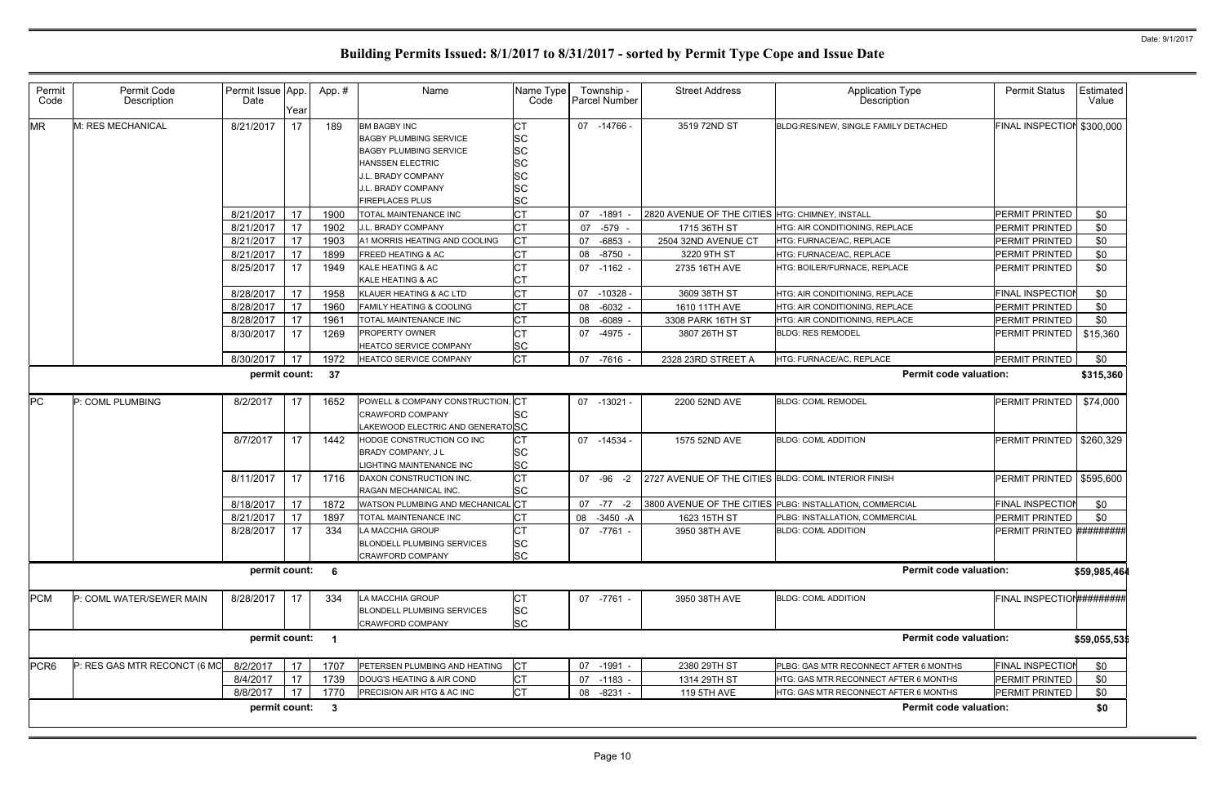| Permit<br>Code   | Permit Code<br>Description   | Permit Issue App.<br>Date | Year | App.#                      | Name                                                                                                                                                                          | Name Type<br>Code                                           | Township -<br>Parcel Number | <b>Street Address</b>                                | Application Type<br>Description                          | <b>Permit Status</b>             | Estimated<br>Value |
|------------------|------------------------------|---------------------------|------|----------------------------|-------------------------------------------------------------------------------------------------------------------------------------------------------------------------------|-------------------------------------------------------------|-----------------------------|------------------------------------------------------|----------------------------------------------------------|----------------------------------|--------------------|
| <b>MR</b>        | M: RES MECHANICAL            | 8/21/2017                 | 17   | 189                        | <b>BM BAGBY INC</b><br><b>BAGBY PLUMBING SERVICE</b><br><b>BAGBY PLUMBING SERVICE</b><br>HANSSEN ELECTRIC<br>.L. BRADY COMPANY<br>.L. BRADY COMPANY<br><b>FIREPLACES PLUS</b> | СT<br><b>SC</b><br><b>SC</b><br>SC<br>SC<br>SC<br><b>SC</b> | 07 -14766 -                 | 3519 72ND ST                                         | BLDG:RES/NEW, SINGLE FAMILY DETACHED                     | FINAL INSPECTION                 | \$300,000          |
|                  |                              | 8/21/2017                 | 17   | 1900                       | TOTAL MAINTENANCE INC                                                                                                                                                         | <b>CT</b>                                                   | $-1891$<br>07               | 2820 AVENUE OF THE CITIES HTG: CHIMNEY, INSTALL      |                                                          | PERMIT PRINTED                   | \$0                |
|                  |                              | 8/21/2017                 | 17   | 1902                       | J.L. BRADY COMPANY                                                                                                                                                            | <b>CT</b>                                                   | 07<br>-579 -                | 1715 36TH ST                                         | HTG: AIR CONDITIONING, REPLACE                           | PERMIT PRINTED                   | \$0                |
|                  |                              | 8/21/2017                 | 17   | 1903                       | A1 MORRIS HEATING AND COOLING                                                                                                                                                 | <b>CT</b>                                                   | -6853<br>07                 | 2504 32ND AVENUE CT                                  | HTG: FURNACE/AC, REPLACE                                 | PERMIT PRINTED                   | \$0                |
|                  |                              | 8/21/2017                 | 17   | 1899                       | FREED HEATING & AC                                                                                                                                                            | <b>CT</b>                                                   | 08<br>$-8750 -$             | 3220 9TH ST                                          | HTG: FURNACE/AC, REPLACE                                 | PERMIT PRINTED                   | \$0                |
|                  |                              | 8/25/2017                 | 17   | 1949                       | KALE HEATING & AC<br>KALE HEATING & AC                                                                                                                                        | <b>CT</b><br>CТ                                             | 07 -1162 -                  | 2735 16TH AVE                                        | HTG: BOILER/FURNACE, REPLACE                             | PERMIT PRINTED                   | \$0                |
|                  |                              | 8/28/2017                 | 17   | 1958                       | KLAUER HEATING & AC LTD                                                                                                                                                       | <b>CT</b>                                                   | 07<br>$-10328$              | 3609 38TH ST                                         | HTG: AIR CONDITIONING, REPLACE                           | <b>FINAL INSPECTIOI</b>          | \$0                |
|                  |                              | 8/28/2017                 | 17   | 1960                       | FAMILY HEATING & COOLING                                                                                                                                                      | <b>CT</b>                                                   | $-6032 -$<br>08             | 1610 11TH AVE                                        | HTG: AIR CONDITIONING, REPLACE                           | PERMIT PRINTED                   | \$0                |
|                  |                              | 8/28/2017                 | 17   | 1961                       | TOTAL MAINTENANCE INC                                                                                                                                                         | Iст                                                         | 08<br>$-6089 -$             | 3308 PARK 16TH ST                                    | HTG: AIR CONDITIONING, REPLACE                           | PERMIT PRINTED                   | \$0                |
|                  |                              | 8/30/2017                 | 17   | 1269                       | PROPERTY OWNER<br>HEATCO SERVICE COMPANY                                                                                                                                      | <b>CT</b><br><b>SC</b>                                      | 07 -4975 -                  | 3807 26TH ST                                         | <b>BLDG: RES REMODEL</b>                                 | PERMIT PRINTED                   | \$15,360           |
|                  |                              | 8/30/2017                 | 17   | 1972                       | <b>HEATCO SERVICE COMPANY</b>                                                                                                                                                 | <b>CT</b>                                                   | 07<br>-7616 -               | 2328 23RD STREET A                                   | HTG: FURNACE/AC, REPLACE                                 | PERMIT PRINTED                   | \$0                |
|                  |                              | permit count:             |      | - 37                       |                                                                                                                                                                               |                                                             |                             |                                                      | <b>Permit code valuation:</b>                            |                                  | \$315,360          |
| <b>PC</b>        | P: COML PLUMBING             | 8/2/2017                  | 17   | 1652                       | POWELL & COMPANY CONSTRUCTION, CT<br><b>CRAWFORD COMPANY</b><br>LAKEWOOD ELECTRIC AND GENERATOSC                                                                              | SC                                                          | 07 -13021 -                 | 2200 52ND AVE                                        | <b>BLDG: COML REMODEL</b>                                | PERMIT PRINTED                   | \$74,000           |
|                  |                              | 8/7/2017                  | 17   | 1442                       | HODGE CONSTRUCTION CO INC<br>BRADY COMPANY, J L<br>LIGHTING MAINTENANCE INC                                                                                                   | IСТ<br><b>SC</b><br><b>SC</b>                               | 07 -14534                   | 1575 52ND AVE                                        | <b>BLDG: COML ADDITION</b>                               | PERMIT PRINTED   \$260,329       |                    |
|                  |                              | 8/11/2017                 | 17   | 1716                       | DAXON CONSTRUCTION INC.<br>RAGAN MECHANICAL INC.                                                                                                                              | <b>CT</b><br><b>SC</b>                                      | 07 - 96 - 2                 | 2727 AVENUE OF THE CITIES BLDG: COML INTERIOR FINISH |                                                          | PERMIT PRINTED                   | \$595,600          |
|                  |                              | 8/18/2017                 | 17   | 1872                       | WATSON PLUMBING AND MECHANICAL CT                                                                                                                                             |                                                             | 07<br>$-77 - 2$             |                                                      | 3800 AVENUE OF THE CITIES PLBG: INSTALLATION, COMMERCIAL | FINAL INSPECTION                 | \$0                |
|                  |                              | 8/21/2017                 | 17   | 1897                       | TOTAL MAINTENANCE INC                                                                                                                                                         | IСТ                                                         | 08 -3450 -A                 | 1623 15TH ST                                         | PLBG: INSTALLATION, COMMERCIAL                           | PERMIT PRINTED                   | \$0                |
|                  |                              | 8/28/2017 17              |      | 334                        | LA MACCHIA GROUP<br><b>BLONDELL PLUMBING SERVICES</b><br>CRAWFORD COMPANY                                                                                                     | CT<br><b>SC</b><br><b>SC</b>                                | 07 -7761 -                  | 3950 38TH AVE                                        | <b>BLDG: COML ADDITION</b>                               | PERMIT PRINTED #########         |                    |
|                  |                              | permit count: 6           |      |                            |                                                                                                                                                                               |                                                             |                             |                                                      | <b>Permit code valuation:</b>                            |                                  | \$59,985,464       |
| <b>PCM</b>       | P: COML WATER/SEWER MAIN     | 8/28/2017                 | 17   | 334                        | LA MACCHIA GROUP<br><b>BLONDELL PLUMBING SERVICES</b><br><b>CRAWFORD COMPANY</b>                                                                                              | IСТ<br><b>SC</b><br><b>SC</b>                               | 07 -7761 -                  | 3950 38TH AVE                                        | <b>BLDG: COML ADDITION</b>                               | <b>FINAL INSPECTION#########</b> |                    |
|                  |                              | permit count:             |      | $\overline{\phantom{1}}$   |                                                                                                                                                                               |                                                             |                             |                                                      | <b>Permit code valuation:</b>                            |                                  | \$59,055,535       |
| PCR <sub>6</sub> | P: RES GAS MTR RECONCT (6 MC | 8/2/2017                  | 17   | 1707                       | PETERSEN PLUMBING AND HEATING                                                                                                                                                 | <b>CT</b>                                                   | 07 -1991 -                  | 2380 29TH ST                                         | PLBG: GAS MTR RECONNECT AFTER 6 MONTHS                   | FINAL INSPECTION                 | \$0                |
|                  |                              | 8/4/2017                  | 17   | 1739                       | DOUG'S HEATING & AIR COND                                                                                                                                                     | IСТ                                                         | $-1183 -$<br>07             | 1314 29TH ST                                         | HTG: GAS MTR RECONNECT AFTER 6 MONTHS                    | PERMIT PRINTED                   | \$0                |
|                  |                              | 8/8/2017                  | 17   | 1770                       | PRECISION AIR HTG & AC INC                                                                                                                                                    | <b>CT</b>                                                   | 08<br>-8231                 | 119 5TH AVE                                          | HTG: GAS MTR RECONNECT AFTER 6 MONTHS                    | PERMIT PRINTED                   | \$0                |
|                  |                              | permit count:             |      | $\overline{\phantom{a}}$ 3 |                                                                                                                                                                               |                                                             |                             |                                                      | <b>Permit code valuation:</b>                            |                                  | \$0                |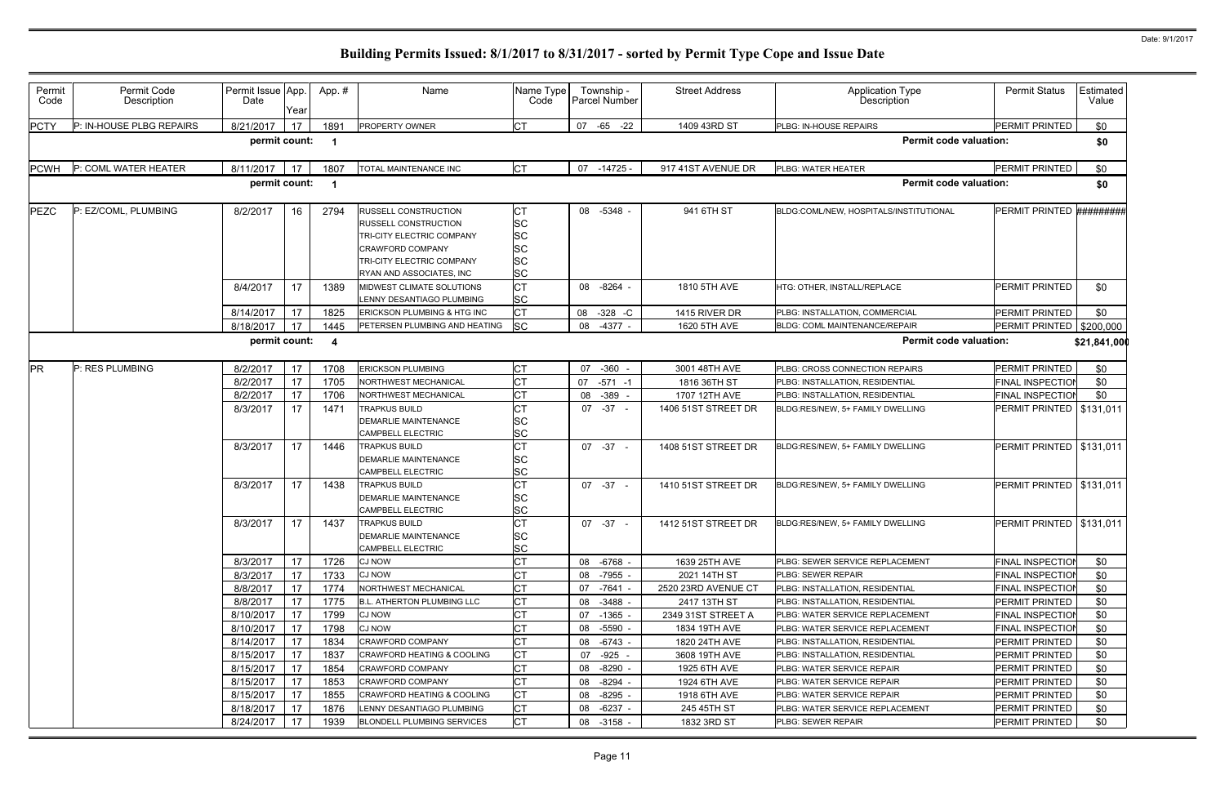| Permit<br>Code | Permit Code<br>Description | Permit Issue App.<br>Date | Year | App.#          | Name                                                                                                                                                                 | Name Type<br>Code                                            |    | Township -<br><b>Parcel Number</b> | <b>Street Address</b> | Application Type<br>Description         | <b>Permit Status</b>       | Estimated<br>Value |
|----------------|----------------------------|---------------------------|------|----------------|----------------------------------------------------------------------------------------------------------------------------------------------------------------------|--------------------------------------------------------------|----|------------------------------------|-----------------------|-----------------------------------------|----------------------------|--------------------|
| <b>PCTY</b>    | P: IN-HOUSE PLBG REPAIRS   | 8/21/2017                 | 17   | 1891           | PROPERTY OWNER                                                                                                                                                       | <b>CT</b>                                                    |    | 07 -65 -22                         | 1409 43RD ST          | PLBG: IN-HOUSE REPAIRS                  | PERMIT PRINTED             | \$0                |
|                |                            | permit count:             |      | -1             |                                                                                                                                                                      |                                                              |    |                                    |                       | <b>Permit code valuation:</b>           |                            | \$0                |
| <b>PCWH</b>    | P: COML WATER HEATER       | 8/11/2017                 | 17   | 1807           | TOTAL MAINTENANCE INC                                                                                                                                                | <b>CT</b>                                                    | 07 | $-14725 -$                         | 917 41ST AVENUE DR    | PLBG: WATER HEATER                      | PERMIT PRINTED             | \$0                |
|                |                            | permit count:             |      | - 1            |                                                                                                                                                                      |                                                              |    |                                    |                       | <b>Permit code valuation:</b>           |                            | \$0                |
| <b>PEZC</b>    | P: EZ/COML, PLUMBING       | 8/2/2017                  | 16   | 2794           | RUSSELL CONSTRUCTION<br><b>RUSSELL CONSTRUCTION</b><br>TRI-CITY ELECTRIC COMPANY<br><b>CRAWFORD COMPANY</b><br>TRI-CITY ELECTRIC COMPANY<br>RYAN AND ASSOCIATES, INC | СT<br><b>SC</b><br><b>SC</b><br><b>SC</b><br>SC<br><b>SC</b> |    | 08 -5348 -                         | 941 6TH ST            | BLDG:COML/NEW, HOSPITALS/INSTITUTIONAL  | PERMIT PRINTED             | #########          |
|                |                            | 8/4/2017                  | 17   | 1389           | MIDWEST CLIMATE SOLUTIONS<br>LENNY DESANTIAGO PLUMBING                                                                                                               | <b>CT</b><br><b>SC</b>                                       |    | 08 -8264 -                         | 1810 5TH AVE          | HTG: OTHER, INSTALL/REPLACE             | PERMIT PRINTED             | \$0                |
|                |                            | 8/14/2017                 | 17   | 1825           | ERICKSON PLUMBING & HTG INC                                                                                                                                          | <b>CT</b>                                                    | 08 | $-328$ $-C$                        | 1415 RIVER DR         | PLBG: INSTALLATION, COMMERCIAL          | PERMIT PRINTED             | \$0                |
|                |                            | 8/18/2017                 | 17   | 1445           | PETERSEN PLUMBING AND HEATING                                                                                                                                        | <b>SC</b>                                                    | 08 | $-4377 -$                          | 1620 5TH AVE          | BLDG: COML MAINTENANCE/REPAIR           | PERMIT PRINTED   \$200,000 |                    |
|                |                            | permit count:             |      | $\overline{4}$ |                                                                                                                                                                      |                                                              |    |                                    |                       | <b>Permit code valuation:</b>           |                            | \$21,841,000       |
| <b>PR</b>      | P: RES PLUMBING            | 8/2/2017                  | 17   | 1708           | <b>ERICKSON PLUMBING</b>                                                                                                                                             | <b>CT</b>                                                    | 07 | $-360$                             | 3001 48TH AVE         | PLBG: CROSS CONNECTION REPAIRS          | PERMIT PRINTED             | \$0                |
|                |                            | 8/2/2017                  | 17   | 1705           | NORTHWEST MECHANICAL                                                                                                                                                 | <b>CT</b>                                                    | 07 | $-571 - 1$                         | 1816 36TH ST          | PLBG: INSTALLATION, RESIDENTIAL         | <b>FINAL INSPECTION</b>    | \$0                |
|                |                            | 8/2/2017                  | 17   | 1706           | NORTHWEST MECHANICAL                                                                                                                                                 | <b>CT</b>                                                    | 08 | -389                               | 1707 12TH AVE         | PLBG: INSTALLATION, RESIDENTIAL         | <b>FINAL INSPECTION</b>    | \$0                |
|                |                            | 8/3/2017                  | 17   | 1471           | TRAPKUS BUILD<br><b>DEMARLIE MAINTENANCE</b><br><b>CAMPBELL ELECTRIC</b>                                                                                             | <b>CT</b><br><b>SC</b><br><b>SC</b>                          |    | $07 - 37 -$                        | 1406 51ST STREET DR   | BLDG:RES/NEW, 5+ FAMILY DWELLING        | PERMIT PRINTED             | \$131,011          |
|                |                            | 8/3/2017                  | 17   | 1446           | <b>TRAPKUS BUILD</b><br><b>DEMARLIE MAINTENANCE</b><br><b>CAMPBELL ELECTRIC</b>                                                                                      | <b>CT</b><br><b>SC</b><br><b>SC</b>                          |    | $07 -37 -$                         | 1408 51ST STREET DR   | BLDG:RES/NEW, 5+ FAMILY DWELLING        | PERMIT PRINTED   \$131,011 |                    |
|                |                            | 8/3/2017                  | 17   | 1438           | <b>TRAPKUS BUILD</b><br><b>DEMARLIE MAINTENANCE</b><br><b>CAMPBELL ELECTRIC</b>                                                                                      | СT<br><b>SC</b><br><b>SC</b>                                 |    | $07 - 37 -$                        | 1410 51ST STREET DR   | BLDG:RES/NEW, 5+ FAMILY DWELLING        | PERMIT PRINTED   \$131,011 |                    |
|                |                            | 8/3/2017                  | 17   | 1437           | <b>TRAPKUS BUILD</b><br><b>DEMARLIE MAINTENANCE</b><br><b>CAMPBELL ELECTRIC</b>                                                                                      | <b>CT</b><br><b>SC</b><br><b>SC</b>                          |    | $07 - 37 -$                        | 1412 51ST STREET DR   | BLDG:RES/NEW. 5+ FAMILY DWELLING        | PERMIT PRINTED   \$131,011 |                    |
|                |                            | 8/3/2017                  | 17   | 1726           | <b>CJ NOW</b>                                                                                                                                                        | <b>CT</b>                                                    |    | 08 -6768 -                         | 1639 25TH AVE         | PLBG: SEWER SERVICE REPLACEMENT         | <b>FINAL INSPECTION</b>    | \$0                |
|                |                            | 8/3/2017                  | 17   | 1733           | <b>CJ NOW</b>                                                                                                                                                        | СT                                                           |    | 08 -7955 -                         | 2021 14TH ST          | <b>PLBG: SEWER REPAIR</b>               | <b>FINAL INSPECTION</b>    | \$0                |
|                |                            | 8/8/2017                  | 17   | 1774           | NORTHWEST MECHANICAL                                                                                                                                                 | <b>CT</b>                                                    | 07 | $-7641 -$                          | 2520 23RD AVENUE CT   | PLBG: INSTALLATION, RESIDENTIAL         | FINAL INSPECTION           | \$0                |
|                |                            | 8/8/2017                  | 17   | 1775           | <b>B.L. ATHERTON PLUMBING LLC</b>                                                                                                                                    | <b>CT</b>                                                    | 08 | $-3488 -$                          | 2417 13TH ST          | PLBG: INSTALLATION, RESIDENTIAL         | PERMIT PRINTED             | \$0                |
|                |                            | 8/10/2017                 | 17   | 1799           | <b>CJ NOW</b>                                                                                                                                                        | <b>CT</b>                                                    | 07 | $-1365 -$                          | 2349 31ST STREET A    | <b>IPLBG: WATER SERVICE REPLACEMENT</b> | FINAL INSPECTION           | \$0                |
|                |                            | 8/10/2017                 | 17   | 1798           | <b>CJ NOW</b>                                                                                                                                                        | <b>CT</b>                                                    | 08 | -5590 -                            | 1834 19TH AVE         | PLBG: WATER SERVICE REPLACEMENT         | <b>FINAL INSPECTION</b>    | \$0                |
|                |                            | 8/14/2017                 | 17   | 1834           | <b>CRAWFORD COMPANY</b>                                                                                                                                              | <b>CT</b>                                                    |    | 08 -6743 -                         | 1820 24TH AVE         | <b>PLBG: INSTALLATION, RESIDENTIAL</b>  | PERMIT PRINTED             | \$0                |
|                |                            | 8/15/2017                 | 17   | 1837           | <b>CRAWFORD HEATING &amp; COOLING</b>                                                                                                                                | <b>CT</b>                                                    | 07 | $-925 -$                           | 3608 19TH AVE         | PLBG: INSTALLATION, RESIDENTIAL         | PERMIT PRINTED             | \$0                |
|                |                            | 8/15/2017                 | 17   | 1854           | <b>CRAWFORD COMPANY</b>                                                                                                                                              | <b>CT</b>                                                    | 08 | $-8290 -$                          | 1925 6TH AVE          | <b>PLBG: WATER SERVICE REPAIR</b>       | PERMIT PRINTED             | \$0                |
|                |                            | 8/15/2017                 | 17   | 1853           | <b>CRAWFORD COMPANY</b>                                                                                                                                              | <b>CT</b>                                                    | 08 | $-8294 -$                          | 1924 6TH AVE          | PLBG: WATER SERVICE REPAIR              | PERMIT PRINTED             | \$0                |
|                |                            | 8/15/2017                 | 17   | 1855           | <b>CRAWFORD HEATING &amp; COOLING</b>                                                                                                                                | <b>CT</b>                                                    | 08 | -8295 -                            | 1918 6TH AVE          | PLBG: WATER SERVICE REPAIR              | PERMIT PRINTED             | \$0                |
|                |                            | 8/18/2017                 | 17   | 1876           | LENNY DESANTIAGO PLUMBING                                                                                                                                            | <b>CT</b>                                                    | 08 | $-6237 -$                          | 245 45TH ST           | PLBG: WATER SERVICE REPLACEMENT         | PERMIT PRINTED             | \$0                |
|                |                            | 8/24/2017                 | 17   | 1939           | <b>BLONDELL PLUMBING SERVICES</b>                                                                                                                                    | <b>CT</b>                                                    |    | 08 -3158 -                         | 1832 3RD ST           | PLBG: SEWER REPAIR                      | PERMIT PRINTED             | \$0                |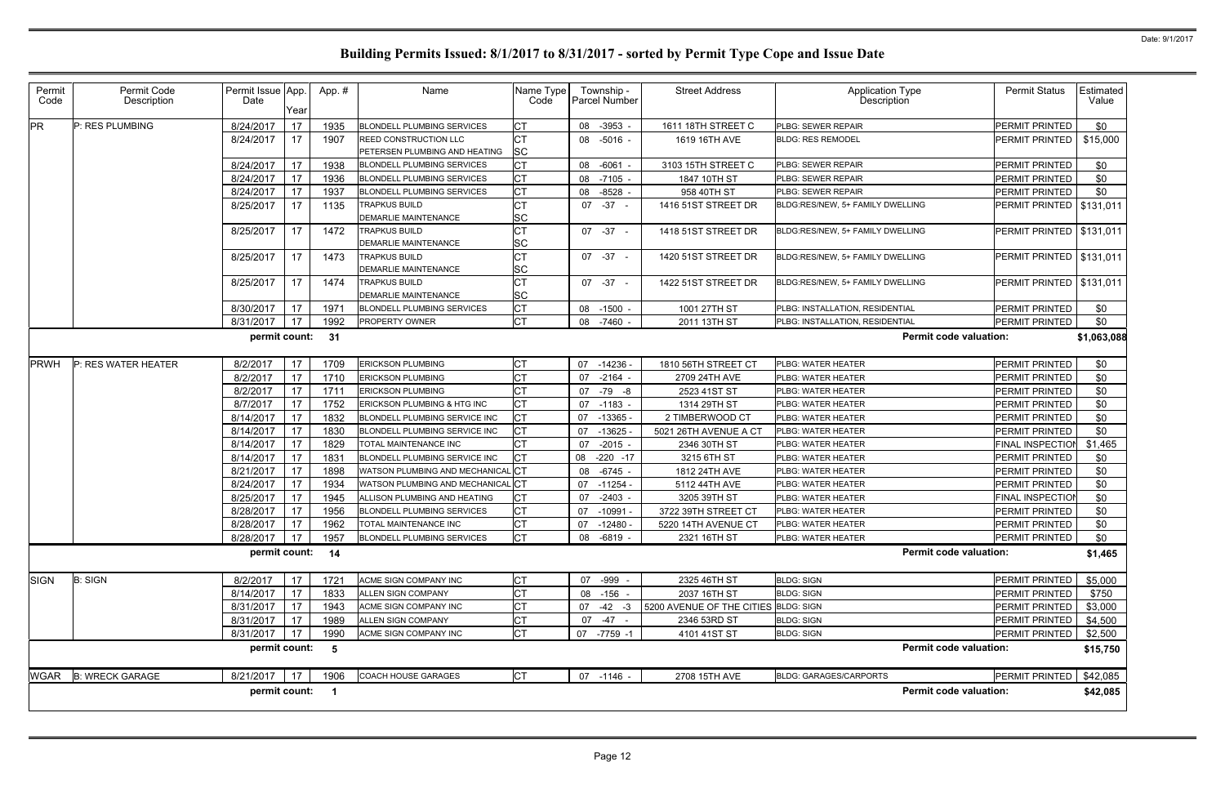| Permit<br>Code | Permit Code<br>Description | Permit Issue App.<br>Date | Year | App.# | Name                                                          | Name Type<br>Code      | Township -<br><b>Parcel Number</b> | <b>Street Address</b>                | <b>Application Type</b><br>Description | <b>Permit Status</b>       | Estimated<br>Value |
|----------------|----------------------------|---------------------------|------|-------|---------------------------------------------------------------|------------------------|------------------------------------|--------------------------------------|----------------------------------------|----------------------------|--------------------|
| <b>PR</b>      | P: RES PLUMBING            | 8/24/2017                 | 17   | 1935  | <b>BLONDELL PLUMBING SERVICES</b>                             | <b>CT</b>              | $-3953 -$<br>08                    | 1611 18TH STREET C                   | PLBG: SEWER REPAIR                     | <b>PERMIT PRINTED</b>      | \$0                |
|                |                            | 8/24/2017                 | 17   | 1907  | <b>REED CONSTRUCTION LLC</b><br>PETERSEN PLUMBING AND HEATING | <b>CT</b><br><b>SC</b> | 08 -5016 -                         | 1619 16TH AVE                        | <b>BLDG: RES REMODEL</b>               | PERMIT PRINTED             | \$15,000           |
|                |                            | 8/24/2017                 | 17   | 1938  | <b>BLONDELL PLUMBING SERVICES</b>                             | <b>CT</b>              | 08<br>$-6061 -$                    | 3103 15TH STREET C                   | PLBG: SEWER REPAIR                     | PERMIT PRINTED             | \$0                |
|                |                            | 8/24/2017                 | 17   | 1936  | <b>BLONDELL PLUMBING SERVICES</b>                             | <b>CT</b>              | $-7105 -$<br>08                    | 1847 10TH ST                         | PLBG: SEWER REPAIR                     | PERMIT PRINTED             | \$0                |
|                |                            | 8/24/2017                 | 17   | 1937  | <b>BLONDELL PLUMBING SERVICES</b>                             | <b>CT</b>              | 08<br>$-8528$                      | 958 40TH ST                          | PLBG: SEWER REPAIR                     | PERMIT PRINTED             | \$0                |
|                |                            | 8/25/2017                 | 17   | 1135  | <b>TRAPKUS BUILD</b>                                          | <b>CT</b>              | $07 - 37 -$                        | 1416 51ST STREET DR                  | BLDG:RES/NEW, 5+ FAMILY DWELLING       | PERMIT PRINTED   \$131,011 |                    |
|                |                            |                           |      |       | DEMARLIE MAINTENANCE                                          | <b>SC</b>              |                                    |                                      |                                        |                            |                    |
|                |                            | 8/25/2017                 | 17   | 1472  | <b>TRAPKUS BUILD</b>                                          | <b>CT</b>              | $07 -37 -$                         | 1418 51ST STREET DR                  | BLDG:RES/NEW, 5+ FAMILY DWELLING       | PERMIT PRINTED   \$131,011 |                    |
|                |                            |                           |      |       | DEMARLIE MAINTENANCE                                          | <b>SC</b>              |                                    |                                      |                                        |                            |                    |
|                |                            | 8/25/2017                 | 17   | 1473  | <b>TRAPKUS BUILD</b>                                          | <b>CT</b>              | $07 - 37 -$                        | 1420 51ST STREET DR                  | BLDG:RES/NEW, 5+ FAMILY DWELLING       | PERMIT PRINTED   \$131,011 |                    |
|                |                            |                           |      |       | DEMARLIE MAINTENANCE                                          | <b>SC</b>              |                                    |                                      |                                        |                            |                    |
|                |                            | 8/25/2017                 | 17   | 1474  | <b>TRAPKUS BUILD</b>                                          | <b>CT</b>              | $07 - 37 -$                        | 1422 51ST STREET DR                  | BLDG:RES/NEW, 5+ FAMILY DWELLING       | PERMIT PRINTED   \$131,011 |                    |
|                |                            |                           |      |       | <b>DEMARLIE MAINTENANCE</b>                                   | <b>SC</b>              |                                    |                                      |                                        |                            |                    |
|                |                            | 8/30/2017                 | 17   | 197'  | <b>BLONDELL PLUMBING SERVICES</b>                             | <b>CT</b>              | 08<br>$-1500 -$                    | 1001 27TH ST                         | PLBG: INSTALLATION, RESIDENTIAL        | PERMIT PRINTED             | \$0                |
|                |                            | 8/31/2017                 | 17   | 1992  | PROPERTY OWNER                                                | Iст                    | $-7460$<br>08                      | 2011 13TH ST                         | PLBG: INSTALLATION, RESIDENTIAL        | PERMIT PRINTED             | \$0                |
|                |                            | permit count: 31          |      |       |                                                               |                        |                                    |                                      | <b>Permit code valuation:</b>          |                            | \$1,063,088        |
| PRWH           | P: RES WATER HEATER        | 8/2/2017                  | 17   | 1709  | <b>ERICKSON PLUMBING</b>                                      | <b>CT</b>              | $-14236$<br>07                     | 1810 56TH STREET CT                  | PLBG: WATER HEATER                     | PERMIT PRINTED             | \$0                |
|                |                            | 8/2/2017                  | 17   | 1710  | <b>ERICKSON PLUMBING</b>                                      | СT                     | 07<br>$-2164 -$                    | 2709 24TH AVE                        | PLBG: WATER HEATER                     | PERMIT PRINTED             | \$0                |
|                |                            | 8/2/2017                  | 17   | 1711  | <b>ERICKSON PLUMBING</b>                                      | <b>CT</b>              | 07<br>-79 -8                       | 2523 41ST ST                         | PLBG: WATER HEATER                     | PERMIT PRINTED             | \$0                |
|                |                            | 8/7/2017                  | 17   | 1752  | ERICKSON PLUMBING & HTG INC                                   | СT                     | 07<br>-1183 -                      | 1314 29TH ST                         | PLBG: WATER HEATER                     | PERMIT PRINTED             | \$0                |
|                |                            | 8/14/2017                 | 17   | 1832  | BLONDELL PLUMBING SERVICE INC                                 | <b>CT</b>              | 07<br>$-13365$                     | 2 TIMBERWOOD CT                      | PLBG: WATER HEATER                     | PERMIT PRINTED             | \$0                |
|                |                            | 8/14/2017                 | 17   | 1830  | BLONDELL PLUMBING SERVICE INC                                 | <b>CT</b>              | 07<br>$-13625$                     | 5021 26TH AVENUE A CT                | PLBG: WATER HEATER                     | PERMIT PRINTED             | \$0                |
|                |                            | 8/14/2017                 | 17   | 1829  | TOTAL MAINTENANCE INC                                         | <b>CT</b>              | $-2015$ -<br>07                    | 2346 30TH ST                         | PLBG: WATER HEATER                     | <b>FINAL INSPECTION</b>    | \$1,465            |
|                |                            | 8/14/2017                 | 17   | 1831  | BLONDELL PLUMBING SERVICE INC                                 |                        | $-220 -17$<br>08                   | 3215 6TH ST                          | PLBG: WATER HEATER                     | PERMIT PRINTED             | \$0                |
|                |                            | 8/21/2017                 | 17   | 1898  | WATSON PLUMBING AND MECHANICAL CT                             |                        | 08 -6745 -                         | 1812 24TH AVE                        | PLBG: WATER HEATER                     | <b>PERMIT PRINTED</b>      | \$0                |
|                |                            | 8/24/2017                 | 17   | 1934  | <b>NATSON PLUMBING AND MECHANICAL CT</b>                      |                        | $-11254$<br>07                     | 5112 44TH AVE                        | PLBG: WATER HEATER                     | PERMIT PRINTED             | \$0                |
|                |                            | 8/25/2017                 | 17   | 1945  | ALLISON PLUMBING AND HEATING                                  | СT                     | 07<br>$-2403 -$                    | 3205 39TH ST                         | PLBG: WATER HEATER                     | <b>FINAL INSPECTIOI</b>    | \$0                |
|                |                            | 8/28/2017                 | 17   | 1956  | <b>BLONDELL PLUMBING SERVICES</b>                             | <b>CT</b>              | 07<br>$-10991$                     | 3722 39TH STREET CT                  | PLBG: WATER HEATER                     | PERMIT PRINTED             | \$0                |
|                |                            | 8/28/2017                 | 17   | 1962  | TOTAL MAINTENANCE INC                                         | <b>CT</b>              | 07<br>-12480 -                     | 5220 14TH AVENUE CT                  | PLBG: WATER HEATER                     | <b>PERMIT PRINTED</b>      | \$0                |
|                |                            | 8/28/2017                 | 17   | 1957  | <b>BLONDELL PLUMBING SERVICES</b>                             | <b>CT</b>              | 08 -6819 -                         | 2321 16TH ST                         | PLBG: WATER HEATER                     | PERMIT PRINTED             | \$0                |
|                |                            | permit count: 14          |      |       |                                                               |                        |                                    |                                      | <b>Permit code valuation:</b>          |                            | \$1,465            |
| <b>SIGN</b>    | <b>B: SIGN</b>             | 8/2/2017                  | 17   | 1721  | ACME SIGN COMPANY INC                                         | <b>CT</b>              | 07 -999 -                          | 2325 46TH ST                         | <b>BLDG: SIGN</b>                      | PERMIT PRINTED             | \$5,000            |
|                |                            | 8/14/2017                 | 17   | 1833  | ALLEN SIGN COMPANY                                            | <b>CT</b>              | 08<br>-156 -                       | 2037 16TH ST                         | <b>BLDG: SIGN</b>                      | PERMIT PRINTED             | \$750              |
|                |                            | 8/31/2017                 | 17   | 1943  | ACME SIGN COMPANY INC                                         | СT                     | $-42 - 3$<br>07                    | 5200 AVENUE OF THE CITIES BLDG: SIGN |                                        | PERMIT PRINTED             | \$3,000            |
|                |                            | 8/31/2017                 | 17   | 1989  | ALLEN SIGN COMPANY                                            | <b>CT</b>              | $-47 -$<br>07                      | 2346 53RD ST                         | <b>BLDG: SIGN</b>                      | PERMIT PRINTED             | \$4,500            |
|                |                            | 8/31/2017                 | 17   | 1990  | ACME SIGN COMPANY INC                                         | <b>ICT</b>             | 07 -7759 -1                        | 4101 41ST ST                         | <b>BLDG: SIGN</b>                      | PERMIT PRINTED             | \$2,500            |
|                |                            | permit count: 5           |      |       |                                                               |                        |                                    |                                      | <b>Permit code valuation:</b>          |                            | \$15,750           |
|                | WGAR B: WRECK GARAGE       | 8/21/2017                 | 17   | 1906  | <b>COACH HOUSE GARAGES</b>                                    | <b>CT</b>              | 07 -1146 -                         | 2708 15TH AVE                        | <b>BLDG: GARAGES/CARPORTS</b>          | PERMIT PRINTED             | \$42,085           |
|                |                            | permit count: 1           |      |       |                                                               |                        |                                    |                                      | <b>Permit code valuation:</b>          |                            | \$42,085           |
|                |                            |                           |      |       |                                                               |                        |                                    |                                      |                                        |                            |                    |